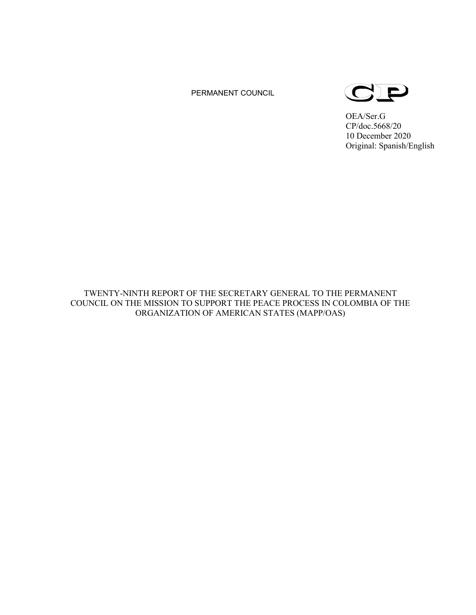# PERMANENT COUNCIL



OEA/Ser.G CP/doc.5668/20 10 December 2020 Original: Spanish/English

TWENTY-NINTH REPORT OF THE SECRETARY GENERAL TO THE PERMANENT COUNCIL ON THE MISSION TO SUPPORT THE PEACE PROCESS IN COLOMBIA OF THE ORGANIZATION OF AMERICAN STATES (MAPP/OAS)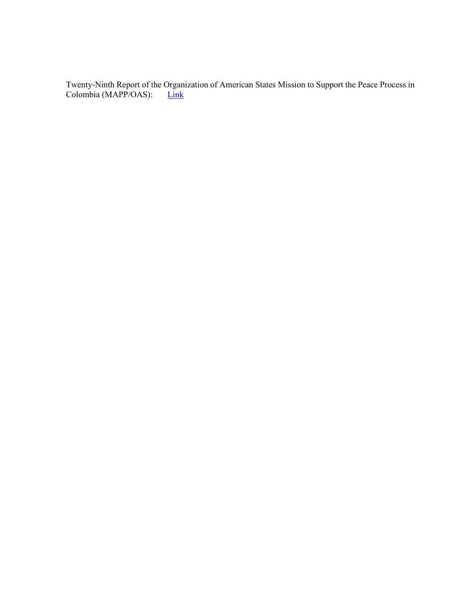Twenty-Ninth Report of the Organization of American States Mission to Support the Peace Process in Colombia (MAPP/OAS): [Link](http://scm.oas.org/pdfs/2020/CP43341EREPORTXXIXMAPPOEA.docx)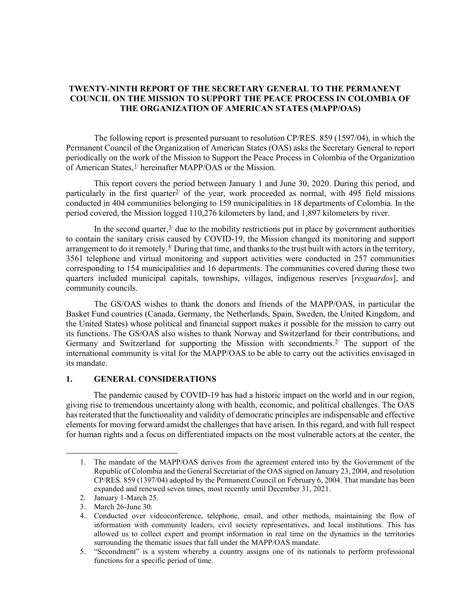# **TWENTY-NINTH REPORT OF THE SECRETARY GENERAL TO THE PERMANENT COUNCIL ON THE MISSION TO SUPPORT THE PEACE PROCESS IN COLOMBIA OF THE ORGANIZATION OF AMERICAN STATES (MAPP/OAS)**

The following report is presented pursuant to resolution CP/RES. 859 (1597/04), in which the Permanent Council of the Organization of American States (OAS) asks the Secretary General to report periodically on the work of the Mission to Support the Peace Process in Colombia of the Organization of American States,  $\frac{1}{2}$  $\frac{1}{2}$  $\frac{1}{2}$  hereinafter MAPP/OAS or the Mission.

This report covers the period between January 1 and June 30, 2020. During this period, and particularly in the first quarter<sup> $2/$  $2/$ </sup> of the year, work proceeded as normal, with 495 field missions conducted in 404 communities belonging to 159 municipalities in 18 departments of Colombia. In the period covered, the Mission logged 110,276 kilometers by land, and 1,897 kilometers by river.

In the second quarter, $3/2$  $3/2$  due to the mobility restrictions put in place by government authorities to contain the sanitary crisis caused by COVID-19, the Mission changed its monitoring and support arrangement to do it remotely.<sup> $4/$ </sup> During that time, and thanks to the trust built with actors in the territory, 3561 telephone and virtual monitoring and support activities were conducted in 257 communities corresponding to 154 municipalities and 16 departments. The communities covered during those two quarters included municipal capitals, townships, villages, indigenous reserves [*resguardos*], and community councils.

The GS/OAS wishes to thank the donors and friends of the MAPP/OAS, in particular the Basket Fund countries (Canada, Germany, the Netherlands, Spain, Sweden, the United Kingdom, and the United States) whose political and financial support makes it possible for the mission to carry out its functions. The GS/OAS also wishes to thank Norway and Switzerland for their contributions, and Germany and Switzerland for supporting the Mission with secondments.<sup>[5/](#page-2-4)</sup> The support of the international community is vital for the MAPP/OAS to be able to carry out the activities envisaged in its mandate.

### **1. GENERAL CONSIDERATIONS**

The pandemic caused by COVID-19 has had a historic impact on the world and in our region, giving rise to tremendous uncertainty along with health, economic, and political challenges. The OAS has reiterated that the functionality and validity of democratic principles are indispensable and effective elements for moving forward amidst the challenges that have arisen. In this regard, and with full respect for human rights and a focus on differentiated impacts on the most vulnerable actors at the center, the

<span id="page-2-0"></span><sup>1.</sup> The mandate of the MAPP/OAS derives from the agreement entered into by the Government of the Republic of Colombia and the General Secretariat of the OAS signed on January 23, 2004, and resolution CP/RES. 859 (1397/04) adopted by the Permanent Council on February 6, 2004. That mandate has been expanded and renewed seven times, most recently until December 31, 2021.

<span id="page-2-1"></span><sup>2.</sup> January 1-March 25.

<span id="page-2-2"></span><sup>3.</sup> March 26-June 30.

<span id="page-2-3"></span><sup>4.</sup> Conducted over videoconference, telephone, email, and other methods, maintaining the flow of information with community leaders, civil society representatives, and local institutions. This has allowed us to collect expert and prompt information in real time on the dynamics in the territories surrounding the thematic issues that fall under the MAPP/OAS mandate.

<span id="page-2-4"></span><sup>5.</sup> "Secondment" is a system whereby a country assigns one of its nationals to perform professional functions for a specific period of time.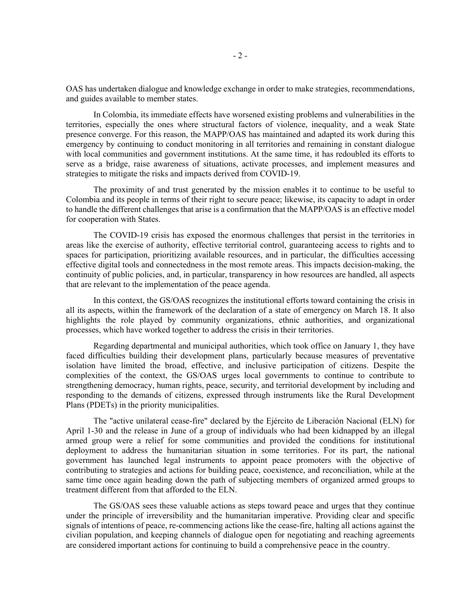OAS has undertaken dialogue and knowledge exchange in order to make strategies, recommendations, and guides available to member states.

In Colombia, its immediate effects have worsened existing problems and vulnerabilities in the territories, especially the ones where structural factors of violence, inequality, and a weak State presence converge. For this reason, the MAPP/OAS has maintained and adapted its work during this emergency by continuing to conduct monitoring in all territories and remaining in constant dialogue with local communities and government institutions. At the same time, it has redoubled its efforts to serve as a bridge, raise awareness of situations, activate processes, and implement measures and strategies to mitigate the risks and impacts derived from COVID-19.

The proximity of and trust generated by the mission enables it to continue to be useful to Colombia and its people in terms of their right to secure peace; likewise, its capacity to adapt in order to handle the different challenges that arise is a confirmation that the MAPP/OAS is an effective model for cooperation with States.

The COVID-19 crisis has exposed the enormous challenges that persist in the territories in areas like the exercise of authority, effective territorial control, guaranteeing access to rights and to spaces for participation, prioritizing available resources, and in particular, the difficulties accessing effective digital tools and connectedness in the most remote areas. This impacts decision-making, the continuity of public policies, and, in particular, transparency in how resources are handled, all aspects that are relevant to the implementation of the peace agenda.

In this context, the GS/OAS recognizes the institutional efforts toward containing the crisis in all its aspects, within the framework of the declaration of a state of emergency on March 18. It also highlights the role played by community organizations, ethnic authorities, and organizational processes, which have worked together to address the crisis in their territories.

Regarding departmental and municipal authorities, which took office on January 1, they have faced difficulties building their development plans, particularly because measures of preventative isolation have limited the broad, effective, and inclusive participation of citizens. Despite the complexities of the context, the GS/OAS urges local governments to continue to contribute to strengthening democracy, human rights, peace, security, and territorial development by including and responding to the demands of citizens, expressed through instruments like the Rural Development Plans (PDETs) in the priority municipalities.

The "active unilateral cease-fire" declared by the Ejército de Liberación Nacional (ELN) for April 1-30 and the release in June of a group of individuals who had been kidnapped by an illegal armed group were a relief for some communities and provided the conditions for institutional deployment to address the humanitarian situation in some territories. For its part, the national government has launched legal instruments to appoint peace promoters with the objective of contributing to strategies and actions for building peace, coexistence, and reconciliation, while at the same time once again heading down the path of subjecting members of organized armed groups to treatment different from that afforded to the ELN.

The GS/OAS sees these valuable actions as steps toward peace and urges that they continue under the principle of irreversibility and the humanitarian imperative. Providing clear and specific signals of intentions of peace, re-commencing actions like the cease-fire, halting all actions against the civilian population, and keeping channels of dialogue open for negotiating and reaching agreements are considered important actions for continuing to build a comprehensive peace in the country.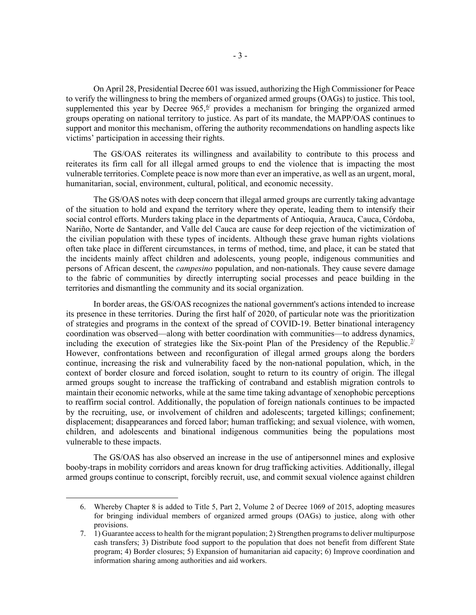On April 28, Presidential Decree 601 was issued, authorizing the High Commissioner for Peace to verify the willingness to bring the members of organized armed groups (OAGs) to justice. This tool, supplemented this year by Decree  $965$ ,  $\frac{6}{2}$  provides a mechanism for bringing the organized armed groups operating on national territory to justice. As part of its mandate, the MAPP/OAS continues to support and monitor this mechanism, offering the authority recommendations on handling aspects like victims' participation in accessing their rights.

The GS/OAS reiterates its willingness and availability to contribute to this process and reiterates its firm call for all illegal armed groups to end the violence that is impacting the most vulnerable territories. Complete peace is now more than ever an imperative, as well as an urgent, moral, humanitarian, social, environment, cultural, political, and economic necessity.

The GS/OAS notes with deep concern that illegal armed groups are currently taking advantage of the situation to hold and expand the territory where they operate, leading them to intensify their social control efforts. Murders taking place in the departments of Antioquia, Arauca, Cauca, Córdoba, Nariño, Norte de Santander, and Valle del Cauca are cause for deep rejection of the victimization of the civilian population with these types of incidents. Although these grave human rights violations often take place in different circumstances, in terms of method, time, and place, it can be stated that the incidents mainly affect children and adolescents, young people, indigenous communities and persons of African descent, the *campesino* population, and non-nationals. They cause severe damage to the fabric of communities by directly interrupting social processes and peace building in the territories and dismantling the community and its social organization.

In border areas, the GS/OAS recognizes the national government's actions intended to increase its presence in these territories. During the first half of 2020, of particular note was the prioritization of strategies and programs in the context of the spread of COVID-19. Better binational interagency coordination was observed—along with better coordination with communities—to address dynamics, including the execution of strategies like the Six-point Plan of the Presidency of the Republic.<sup> $7/$ </sup> However, confrontations between and reconfiguration of illegal armed groups along the borders continue, increasing the risk and vulnerability faced by the non-national population, which, in the context of border closure and forced isolation, sought to return to its country of origin. The illegal armed groups sought to increase the trafficking of contraband and establish migration controls to maintain their economic networks, while at the same time taking advantage of xenophobic perceptions to reaffirm social control. Additionally, the population of foreign nationals continues to be impacted by the recruiting, use, or involvement of children and adolescents; targeted killings; confinement; displacement; disappearances and forced labor; human trafficking; and sexual violence, with women, children, and adolescents and binational indigenous communities being the populations most vulnerable to these impacts.

The GS/OAS has also observed an increase in the use of antipersonnel mines and explosive booby-traps in mobility corridors and areas known for drug trafficking activities. Additionally, illegal armed groups continue to conscript, forcibly recruit, use, and commit sexual violence against children

<span id="page-4-0"></span><sup>6.</sup> Whereby Chapter 8 is added to Title 5, Part 2, Volume 2 of Decree 1069 of 2015, adopting measures for bringing individual members of organized armed groups (OAGs) to justice, along with other provisions.

<span id="page-4-1"></span><sup>7.</sup> 1) Guarantee access to health for the migrant population; 2) Strengthen programs to deliver multipurpose cash transfers; 3) Distribute food support to the population that does not benefit from different State program; 4) Border closures; 5) Expansion of humanitarian aid capacity; 6) Improve coordination and information sharing among authorities and aid workers.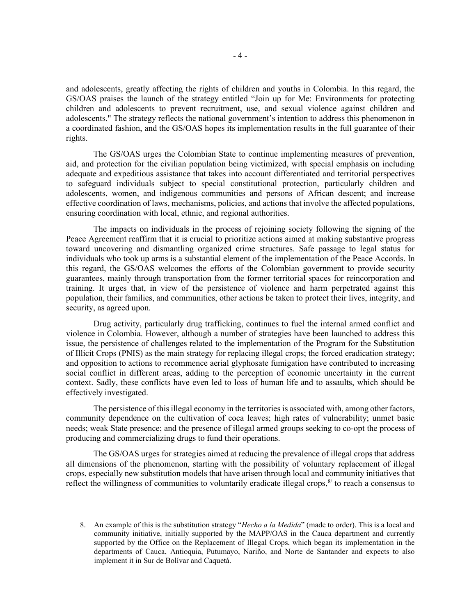and adolescents, greatly affecting the rights of children and youths in Colombia. In this regard, the GS/OAS praises the launch of the strategy entitled "Join up for Me: Environments for protecting children and adolescents to prevent recruitment, use, and sexual violence against children and adolescents." The strategy reflects the national government's intention to address this phenomenon in a coordinated fashion, and the GS/OAS hopes its implementation results in the full guarantee of their rights.

The GS/OAS urges the Colombian State to continue implementing measures of prevention, aid, and protection for the civilian population being victimized, with special emphasis on including adequate and expeditious assistance that takes into account differentiated and territorial perspectives to safeguard individuals subject to special constitutional protection, particularly children and adolescents, women, and indigenous communities and persons of African descent; and increase effective coordination of laws, mechanisms, policies, and actions that involve the affected populations, ensuring coordination with local, ethnic, and regional authorities.

The impacts on individuals in the process of rejoining society following the signing of the Peace Agreement reaffirm that it is crucial to prioritize actions aimed at making substantive progress toward uncovering and dismantling organized crime structures. Safe passage to legal status for individuals who took up arms is a substantial element of the implementation of the Peace Accords. In this regard, the GS/OAS welcomes the efforts of the Colombian government to provide security guarantees, mainly through transportation from the former territorial spaces for reincorporation and training. It urges that, in view of the persistence of violence and harm perpetrated against this population, their families, and communities, other actions be taken to protect their lives, integrity, and security, as agreed upon.

Drug activity, particularly drug trafficking, continues to fuel the internal armed conflict and violence in Colombia. However, although a number of strategies have been launched to address this issue, the persistence of challenges related to the implementation of the Program for the Substitution of Illicit Crops (PNIS) as the main strategy for replacing illegal crops; the forced eradication strategy; and opposition to actions to recommence aerial glyphosate fumigation have contributed to increasing social conflict in different areas, adding to the perception of economic uncertainty in the current context. Sadly, these conflicts have even led to loss of human life and to assaults, which should be effectively investigated.

The persistence of this illegal economy in the territories is associated with, among other factors, community dependence on the cultivation of coca leaves; high rates of vulnerability; unmet basic needs; weak State presence; and the presence of illegal armed groups seeking to co-opt the process of producing and commercializing drugs to fund their operations.

The GS/OAS urges for strategies aimed at reducing the prevalence of illegal crops that address all dimensions of the phenomenon, starting with the possibility of voluntary replacement of illegal crops, especially new substitution models that have arisen through local and community initiatives that reflect the willingness of communities to voluntarily eradicate illegal crops,  $\frac{8}{3}$  $\frac{8}{3}$  $\frac{8}{3}$  to reach a consensus to

<span id="page-5-0"></span><sup>8.</sup> An example of this is the substitution strategy "*Hecho a la Medida*" (made to order). This is a local and community initiative, initially supported by the MAPP/OAS in the Cauca department and currently supported by the Office on the Replacement of Illegal Crops, which began its implementation in the departments of Cauca, Antioquia, Putumayo, Nariño, and Norte de Santander and expects to also implement it in Sur de Bolívar and Caquetá.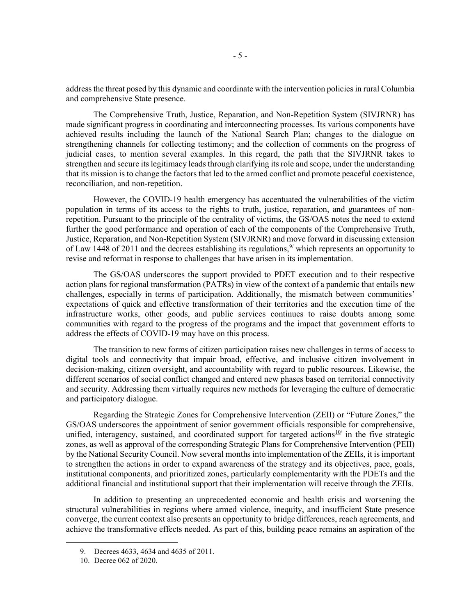address the threat posed by this dynamic and coordinate with the intervention policies in rural Columbia and comprehensive State presence.

The Comprehensive Truth, Justice, Reparation, and Non-Repetition System (SIVJRNR) has made significant progress in coordinating and interconnecting processes. Its various components have achieved results including the launch of the National Search Plan; changes to the dialogue on strengthening channels for collecting testimony; and the collection of comments on the progress of judicial cases, to mention several examples. In this regard, the path that the SIVJRNR takes to strengthen and secure its legitimacy leads through clarifying its role and scope, under the understanding that its mission is to change the factors that led to the armed conflict and promote peaceful coexistence, reconciliation, and non-repetition.

However, the COVID-19 health emergency has accentuated the vulnerabilities of the victim population in terms of its access to the rights to truth, justice, reparation, and guarantees of nonrepetition. Pursuant to the principle of the centrality of victims, the GS/OAS notes the need to extend further the good performance and operation of each of the components of the Comprehensive Truth, Justice, Reparation, and Non-Repetition System (SIVJRNR) and move forward in discussing extension of Law 1448 of 2011 and the decrees establishing its regulations,  $\frac{9}{2}$  which represents an opportunity to revise and reformat in response to challenges that have arisen in its implementation.

The GS/OAS underscores the support provided to PDET execution and to their respective action plans for regional transformation (PATRs) in view of the context of a pandemic that entails new challenges, especially in terms of participation. Additionally, the mismatch between communities' expectations of quick and effective transformation of their territories and the execution time of the infrastructure works, other goods, and public services continues to raise doubts among some communities with regard to the progress of the programs and the impact that government efforts to address the effects of COVID-19 may have on this process.

The transition to new forms of citizen participation raises new challenges in terms of access to digital tools and connectivity that impair broad, effective, and inclusive citizen involvement in decision-making, citizen oversight, and accountability with regard to public resources. Likewise, the different scenarios of social conflict changed and entered new phases based on territorial connectivity and security. Addressing them virtually requires new methods for leveraging the culture of democratic and participatory dialogue.

Regarding the Strategic Zones for Comprehensive Intervention (ZEII) or "Future Zones," the GS/OAS underscores the appointment of senior government officials responsible for comprehensive, unified, interagency, sustained, and coordinated support for targeted actions<sup>[10](#page-6-1)/</sup> in the five strategic zones, as well as approval of the corresponding Strategic Plans for Comprehensive Intervention (PEII) by the National Security Council. Now several months into implementation of the ZEIIs, it is important to strengthen the actions in order to expand awareness of the strategy and its objectives, pace, goals, institutional components, and prioritized zones, particularly complementarity with the PDETs and the additional financial and institutional support that their implementation will receive through the ZEIIs.

In addition to presenting an unprecedented economic and health crisis and worsening the structural vulnerabilities in regions where armed violence, inequity, and insufficient State presence converge, the current context also presents an opportunity to bridge differences, reach agreements, and achieve the transformative effects needed. As part of this, building peace remains an aspiration of the

<span id="page-6-0"></span><sup>9.</sup> Decrees 4633, 4634 and 4635 of 2011.

<span id="page-6-1"></span><sup>10.</sup> Decree 062 of 2020.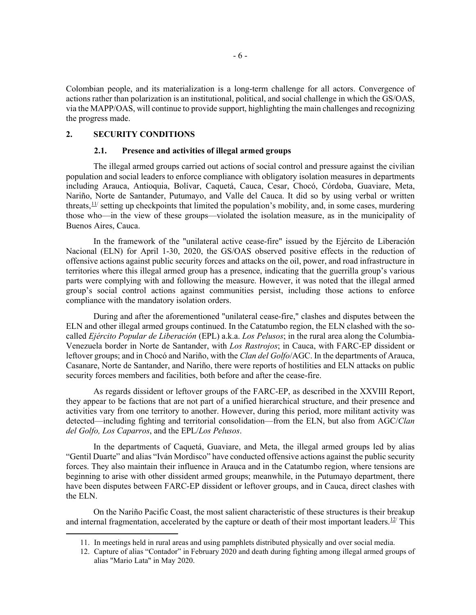Colombian people, and its materialization is a long-term challenge for all actors. Convergence of actions rather than polarization is an institutional, political, and social challenge in which the GS/OAS, via the MAPP/OAS, will continue to provide support, highlighting the main challenges and recognizing the progress made.

## **2. SECURITY CONDITIONS**

### **2.1. Presence and activities of illegal armed groups**

The illegal armed groups carried out actions of social control and pressure against the civilian population and social leaders to enforce compliance with obligatory isolation measures in departments including Arauca, Antioquia, Bolívar, Caquetá, Cauca, Cesar, Chocó, Córdoba, Guaviare, Meta, Nariño, Norte de Santander, Putumayo, and Valle del Cauca. It did so by using verbal or written threats,  $\frac{11}{1}$  setting up checkpoints that limited the population's mobility, and, in some cases, murdering those who—in the view of these groups—violated the isolation measure, as in the municipality of Buenos Aires, Cauca.

In the framework of the "unilateral active cease-fire" issued by the Ejército de Liberación Nacional (ELN) for April 1-30, 2020, the GS/OAS observed positive effects in the reduction of offensive actions against public security forces and attacks on the oil, power, and road infrastructure in territories where this illegal armed group has a presence, indicating that the guerrilla group's various parts were complying with and following the measure. However, it was noted that the illegal armed group's social control actions against communities persist, including those actions to enforce compliance with the mandatory isolation orders.

During and after the aforementioned "unilateral cease-fire," clashes and disputes between the ELN and other illegal armed groups continued. In the Catatumbo region, the ELN clashed with the socalled *Ejército Popular de Liberación* (EPL) a.k.a. *Los Pelusos*; in the rural area along the Columbia-Venezuela border in Norte de Santander, with *Los Rastrojos*; in Cauca, with FARC-EP dissident or leftover groups; and in Chocó and Nariño, with the *Clan del Golfo*/AGC. In the departments of Arauca, Casanare, Norte de Santander, and Nariño, there were reports of hostilities and ELN attacks on public security forces members and facilities, both before and after the cease-fire.

As regards dissident or leftover groups of the FARC-EP, as described in the XXVIII Report, they appear to be factions that are not part of a unified hierarchical structure, and their presence and activities vary from one territory to another. However, during this period, more militant activity was detected—including fighting and territorial consolidation—from the ELN, but also from AGC/*Clan del Golfo, Los Caparros*, and the EPL/*Los Pelusos*.

In the departments of Caquetá, Guaviare, and Meta, the illegal armed groups led by alias "Gentil Duarte" and alias "Iván Mordisco" have conducted offensive actions against the public security forces. They also maintain their influence in Arauca and in the Catatumbo region, where tensions are beginning to arise with other dissident armed groups; meanwhile, in the Putumayo department, there have been disputes between FARC-EP dissident or leftover groups, and in Cauca, direct clashes with the ELN.

<span id="page-7-1"></span><span id="page-7-0"></span>On the Nariño Pacific Coast, the most salient characteristic of these structures is their breakup and internal fragmentation, accelerated by the capture or death of their most important leaders.<sup>[12](#page-7-1)/</sup> This

<sup>11.</sup> In meetings held in rural areas and using pamphlets distributed physically and over social media.

<sup>12.</sup> Capture of alias "Contador" in February 2020 and death during fighting among illegal armed groups of alias "Mario Lata" in May 2020.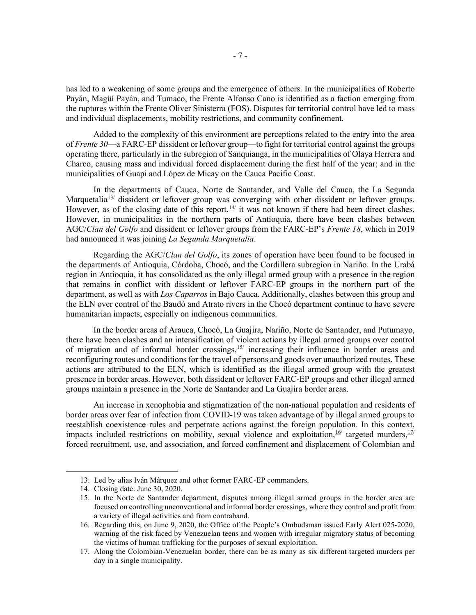has led to a weakening of some groups and the emergence of others. In the municipalities of Roberto Payán, Magüí Payán, and Tumaco, the Frente Alfonso Cano is identified as a faction emerging from the ruptures within the Frente Oliver Sinisterra (FOS). Disputes for territorial control have led to mass and individual displacements, mobility restrictions, and community confinement.

Added to the complexity of this environment are perceptions related to the entry into the area of *Frente 30*—a FARC-EP dissident or leftover group—to fight for territorial control against the groups operating there, particularly in the subregion of Sanquianga, in the municipalities of Olaya Herrera and Charco, causing mass and individual forced displacement during the first half of the year; and in the municipalities of Guapi and López de Micay on the Cauca Pacific Coast.

In the departments of Cauca, Norte de Santander, and Valle del Cauca, the La Segunda Marquetalia<sup>13</sup> dissident or leftover group was converging with other dissident or leftover groups. However, as of the closing date of this report,  $\frac{14}{1}$  it was not known if there had been direct clashes. However, in municipalities in the northern parts of Antioquia, there have been clashes between AGC/*Clan del Golfo* and dissident or leftover groups from the FARC-EP's *Frente 18*, which in 2019 had announced it was joining *La Segunda Marquetalia*.

Regarding the AGC/*Clan del Golfo*, its zones of operation have been found to be focused in the departments of Antioquia, Córdoba, Chocó, and the Cordillera subregion in Nariño. In the Urabá region in Antioquia, it has consolidated as the only illegal armed group with a presence in the region that remains in conflict with dissident or leftover FARC-EP groups in the northern part of the department, as well as with *Los Caparros* in Bajo Cauca. Additionally, clashes between this group and the ELN over control of the Baudó and Atrato rivers in the Chocó department continue to have severe humanitarian impacts, especially on indigenous communities.

In the border areas of Arauca, Chocó, La Guajira, Nariño, Norte de Santander, and Putumayo, there have been clashes and an intensification of violent actions by illegal armed groups over control of migration and of informal border crossings,  $15/$  $15/$  increasing their influence in border areas and reconfiguring routes and conditions for the travel of persons and goods over unauthorized routes. These actions are attributed to the ELN, which is identified as the illegal armed group with the greatest presence in border areas. However, both dissident or leftover FARC-EP groups and other illegal armed groups maintain a presence in the Norte de Santander and La Guajira border areas.

An increase in xenophobia and stigmatization of the non-national population and residents of border areas over fear of infection from COVID-19 was taken advantage of by illegal armed groups to reestablish coexistence rules and perpetrate actions against the foreign population. In this context, impacts included restrictions on mobility, sexual violence and exploitation, <sup>[16](#page-8-3)</sup> targeted murders, <sup>[17](#page-8-4)</sup> forced recruitment, use, and association, and forced confinement and displacement of Colombian and

<span id="page-8-0"></span><sup>13.</sup> Led by alias Iván Márquez and other former FARC-EP commanders.

<span id="page-8-1"></span><sup>14.</sup> Closing date: June 30, 2020.

<span id="page-8-2"></span><sup>15.</sup> In the Norte de Santander department, disputes among illegal armed groups in the border area are focused on controlling unconventional and informal border crossings, where they control and profit from a variety of illegal activities and from contraband.

<span id="page-8-3"></span><sup>16.</sup> Regarding this, on June 9, 2020, the Office of the People's Ombudsman issued Early Alert 025-2020, warning of the risk faced by Venezuelan teens and women with irregular migratory status of becoming the victims of human trafficking for the purposes of sexual exploitation.

<span id="page-8-4"></span><sup>17.</sup> Along the Colombian-Venezuelan border, there can be as many as six different targeted murders per day in a single municipality.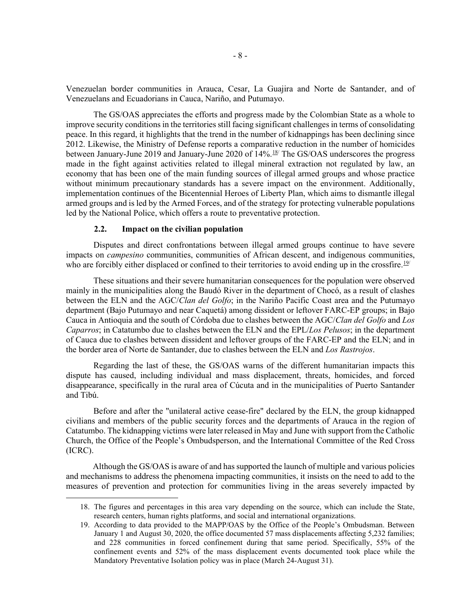Venezuelan border communities in Arauca, Cesar, La Guajira and Norte de Santander, and of Venezuelans and Ecuadorians in Cauca, Nariño, and Putumayo.

The GS/OAS appreciates the efforts and progress made by the Colombian State as a whole to improve security conditions in the territories still facing significant challenges in terms of consolidating peace. In this regard, it highlights that the trend in the number of kidnappings has been declining since 2012. Likewise, the Ministry of Defense reports a comparative reduction in the number of homicides between January-June 2019 and January-June 2020 of 14%.<sup>[18](#page-9-0)/</sup> The GS/OAS underscores the progress made in the fight against activities related to illegal mineral extraction not regulated by law, an economy that has been one of the main funding sources of illegal armed groups and whose practice without minimum precautionary standards has a severe impact on the environment. Additionally, implementation continues of the Bicentennial Heroes of Liberty Plan, which aims to dismantle illegal armed groups and is led by the Armed Forces, and of the strategy for protecting vulnerable populations led by the National Police, which offers a route to preventative protection.

### **2.2. Impact on the civilian population**

Disputes and direct confrontations between illegal armed groups continue to have severe impacts on *campesino* communities, communities of African descent, and indigenous communities, who are forcibly either displaced or confined to their territories to avoid ending up in the crossfire.<sup>[19/](#page-9-1)</sup>

These situations and their severe humanitarian consequences for the population were observed mainly in the municipalities along the Baudó River in the department of Chocó, as a result of clashes between the ELN and the AGC/*Clan del Golfo*; in the Nariño Pacific Coast area and the Putumayo department (Bajo Putumayo and near Caquetá) among dissident or leftover FARC-EP groups; in Bajo Cauca in Antioquia and the south of Córdoba due to clashes between the AGC/*Clan del Golfo* and *Los Caparros*; in Catatumbo due to clashes between the ELN and the EPL/*Los Pelusos*; in the department of Cauca due to clashes between dissident and leftover groups of the FARC-EP and the ELN; and in the border area of Norte de Santander, due to clashes between the ELN and *Los Rastrojos*.

Regarding the last of these, the GS/OAS warns of the different humanitarian impacts this dispute has caused, including individual and mass displacement, threats, homicides, and forced disappearance, specifically in the rural area of Cúcuta and in the municipalities of Puerto Santander and Tibú.

Before and after the "unilateral active cease-fire" declared by the ELN, the group kidnapped civilians and members of the public security forces and the departments of Arauca in the region of Catatumbo. The kidnapping victims were later released in May and June with support from the Catholic Church, the Office of the People's Ombudsperson, and the International Committee of the Red Cross (ICRC).

<span id="page-9-0"></span>Although the GS/OAS is aware of and has supported the launch of multiple and various policies and mechanisms to address the phenomena impacting communities, it insists on the need to add to the measures of prevention and protection for communities living in the areas severely impacted by

<sup>18.</sup> The figures and percentages in this area vary depending on the source, which can include the State, research centers, human rights platforms, and social and international organizations.

<span id="page-9-1"></span><sup>19.</sup> According to data provided to the MAPP/OAS by the Office of the People's Ombudsman. Between January 1 and August 30, 2020, the office documented 57 mass displacements affecting 5,232 families; and 228 communities in forced confinement during that same period. Specifically, 55% of the confinement events and 52% of the mass displacement events documented took place while the Mandatory Preventative Isolation policy was in place (March 24-August 31).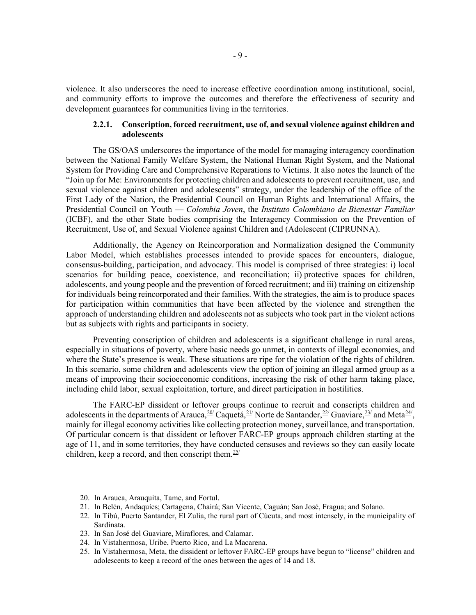violence. It also underscores the need to increase effective coordination among institutional, social, and community efforts to improve the outcomes and therefore the effectiveness of security and development guarantees for communities living in the territories.

### **2.2.1. Conscription, forced recruitment, use of, and sexual violence against children and adolescents**

The GS/OAS underscores the importance of the model for managing interagency coordination between the National Family Welfare System, the National Human Right System, and the National System for Providing Care and Comprehensive Reparations to Victims. It also notes the launch of the "Join up for Me: Environments for protecting children and adolescents to prevent recruitment, use, and sexual violence against children and adolescents" strategy, under the leadership of the office of the First Lady of the Nation, the Presidential Council on Human Rights and International Affairs, the Presidential Council on Youth — *Colombia Joven*, the *Instituto Colombiano de Bienestar Familiar* (ICBF), and the other State bodies comprising the Interagency Commission on the Prevention of Recruitment, Use of, and Sexual Violence against Children and (Adolescent (CIPRUNNA).

Additionally, the Agency on Reincorporation and Normalization designed the Community Labor Model, which establishes processes intended to provide spaces for encounters, dialogue, consensus-building, participation, and advocacy. This model is comprised of three strategies: i) local scenarios for building peace, coexistence, and reconciliation; ii) protective spaces for children, adolescents, and young people and the prevention of forced recruitment; and iii) training on citizenship for individuals being reincorporated and their families. With the strategies, the aim is to produce spaces for participation within communities that have been affected by the violence and strengthen the approach of understanding children and adolescents not as subjects who took part in the violent actions but as subjects with rights and participants in society.

Preventing conscription of children and adolescents is a significant challenge in rural areas, especially in situations of poverty, where basic needs go unmet, in contexts of illegal economies, and where the State's presence is weak. These situations are ripe for the violation of the rights of children. In this scenario, some children and adolescents view the option of joining an illegal armed group as a means of improving their socioeconomic conditions, increasing the risk of other harm taking place, including child labor, sexual exploitation, torture, and direct participation in hostilities.

The FARC-EP dissident or leftover groups continue to recruit and conscripts children and adolescents in the departments of Arauca,  $20/2$  Caquetá,  $21/2$  $21/2$  Norte de Santander,  $22/2$  $22/2$  Guaviare,  $23/2$  and Meta $24/2$  $24/2$ , mainly for illegal economy activities like collecting protection money, surveillance, and transportation. Of particular concern is that dissident or leftover FARC-EP groups approach children starting at the age of 11, and in some territories, they have conducted censuses and reviews so they can easily locate children, keep a record, and then conscript them. $25/$ 

<span id="page-10-0"></span><sup>20.</sup> In Arauca, Arauquita, Tame, and Fortul.

<span id="page-10-1"></span><sup>21.</sup> In Belén, Andaquíes; Cartagena, Chairá; San Vicente, Caguán; San José, Fragua; and Solano.

<span id="page-10-2"></span><sup>22.</sup> In Tibú, Puerto Santander, El Zulia, the rural part of Cúcuta, and most intensely, in the municipality of Sardinata.

<span id="page-10-3"></span><sup>23.</sup> In San José del Guaviare, Miraflores, and Calamar.

<span id="page-10-4"></span><sup>24.</sup> In Vistahermosa, Uribe, Puerto Rico, and La Macarena.

<span id="page-10-5"></span><sup>25.</sup> In Vistahermosa, Meta, the dissident or leftover FARC-EP groups have begun to "license" children and adolescents to keep a record of the ones between the ages of 14 and 18.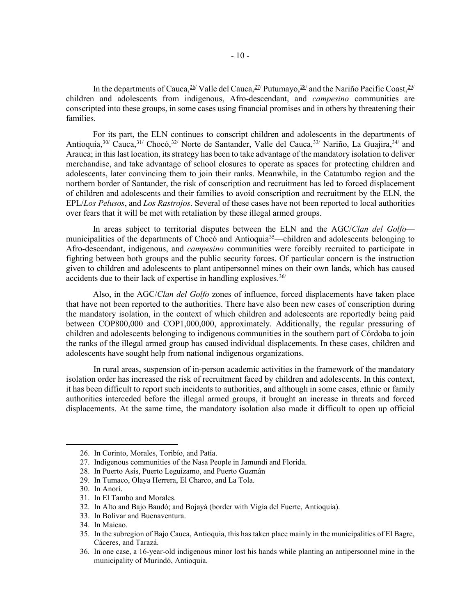In the departments of Cauca,  $26$  Valle del Cauca,  $27$  Putumayo,  $28$  and the Nariño Pacific Coast,  $29$ children and adolescents from indigenous, Afro-descendant, and *campesino* communities are conscripted into these groups, in some cases using financial promises and in others by threatening their families.

For its part, the ELN continues to conscript children and adolescents in the departments of Antioquia,<sup>[30](#page-11-4)/</sup> Cauca,<sup>[31/](#page-11-5)</sup> Chocó,<sup>[32/](#page-11-6)</sup> Norte de Santander, Valle del Cauca,<sup>[33/](#page-11-7)</sup> Nariño, La Guajira,<sup>[34/](#page-11-8)</sup> and Arauca; in this last location, its strategy has been to take advantage of the mandatory isolation to deliver merchandise, and take advantage of school closures to operate as spaces for protecting children and adolescents, later convincing them to join their ranks. Meanwhile, in the Catatumbo region and the northern border of Santander, the risk of conscription and recruitment has led to forced displacement of children and adolescents and their families to avoid conscription and recruitment by the ELN, the EPL/*Los Pelusos*, and *Los Rastrojos*. Several of these cases have not been reported to local authorities over fears that it will be met with retaliation by these illegal armed groups.

In areas subject to territorial disputes between the ELN and the AGC/*Clan del Golfo* municipalities of the departments of Chocó and Antioquia<sup>35</sup>—children and adolescents belonging to Afro-descendant, indigenous, and *campesino* communities were forcibly recruited to participate in fighting between both groups and the public security forces. Of particular concern is the instruction given to children and adolescents to plant antipersonnel mines on their own lands, which has caused accidents due to their lack of expertise in handling explosives.<sup>[36](#page-11-10)/</sup>

Also, in the AGC/*Clan del Golfo* zones of influence, forced displacements have taken place that have not been reported to the authorities. There have also been new cases of conscription during the mandatory isolation, in the context of which children and adolescents are reportedly being paid between COP800,000 and COP1,000,000, approximately. Additionally, the regular pressuring of children and adolescents belonging to indigenous communities in the southern part of Córdoba to join the ranks of the illegal armed group has caused individual displacements. In these cases, children and adolescents have sought help from national indigenous organizations.

In rural areas, suspension of in-person academic activities in the framework of the mandatory isolation order has increased the risk of recruitment faced by children and adolescents. In this context, it has been difficult to report such incidents to authorities, and although in some cases, ethnic or family authorities interceded before the illegal armed groups, it brought an increase in threats and forced displacements. At the same time, the mandatory isolation also made it difficult to open up official

<sup>26.</sup> In Corinto, Morales, Toribío, and Patía.

<span id="page-11-1"></span><span id="page-11-0"></span><sup>27.</sup> Indigenous communities of the Nasa People in Jamundí and Florida.

<span id="page-11-2"></span><sup>28.</sup> In Puerto Asís, Puerto Leguízamo, and Puerto Guzmán

<span id="page-11-3"></span><sup>29.</sup> In Tumaco, Olaya Herrera, El Charco, and La Tola.

<span id="page-11-4"></span><sup>30.</sup> In Anorí.

<span id="page-11-5"></span><sup>31.</sup> In El Tambo and Morales.

<span id="page-11-6"></span><sup>32.</sup> In Alto and Bajo Baudó; and Bojayá (border with Vigía del Fuerte, Antioquia).

<span id="page-11-7"></span><sup>33.</sup> In Bolívar and Buenaventura.

<span id="page-11-8"></span><sup>34.</sup> In Maicao.

<span id="page-11-9"></span><sup>35.</sup> In the subregion of Bajo Cauca, Antioquia, this has taken place mainly in the municipalities of El Bagre, Cáceres, and Tarazá.

<span id="page-11-10"></span><sup>36.</sup> In one case, a 16-year-old indigenous minor lost his hands while planting an antipersonnel mine in the municipality of Murindó, Antioquia.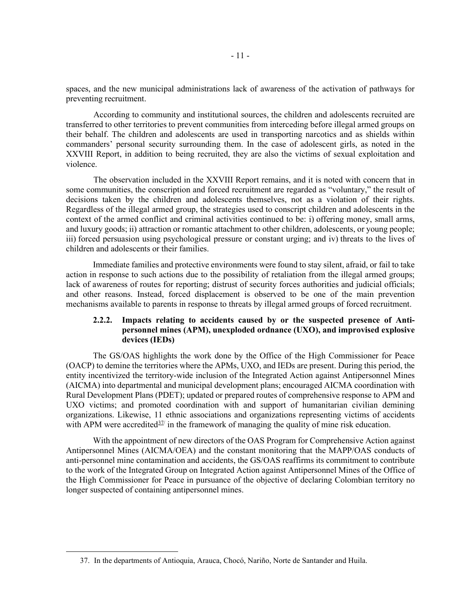spaces, and the new municipal administrations lack of awareness of the activation of pathways for preventing recruitment.

According to community and institutional sources, the children and adolescents recruited are transferred to other territories to prevent communities from interceding before illegal armed groups on their behalf. The children and adolescents are used in transporting narcotics and as shields within commanders' personal security surrounding them. In the case of adolescent girls, as noted in the XXVIII Report, in addition to being recruited, they are also the victims of sexual exploitation and violence.

The observation included in the XXVIII Report remains, and it is noted with concern that in some communities, the conscription and forced recruitment are regarded as "voluntary," the result of decisions taken by the children and adolescents themselves, not as a violation of their rights. Regardless of the illegal armed group, the strategies used to conscript children and adolescents in the context of the armed conflict and criminal activities continued to be: i) offering money, small arms, and luxury goods; ii) attraction or romantic attachment to other children, adolescents, or young people; iii) forced persuasion using psychological pressure or constant urging; and iv) threats to the lives of children and adolescents or their families.

Immediate families and protective environments were found to stay silent, afraid, or fail to take action in response to such actions due to the possibility of retaliation from the illegal armed groups; lack of awareness of routes for reporting; distrust of security forces authorities and judicial officials; and other reasons. Instead, forced displacement is observed to be one of the main prevention mechanisms available to parents in response to threats by illegal armed groups of forced recruitment.

# **2.2.2. Impacts relating to accidents caused by or the suspected presence of Antipersonnel mines (APM), unexploded ordnance (UXO), and improvised explosive devices (IEDs)**

The GS/OAS highlights the work done by the Office of the High Commissioner for Peace (OACP) to demine the territories where the APMs, UXO, and IEDs are present. During this period, the entity incentivized the territory-wide inclusion of the Integrated Action against Antipersonnel Mines (AICMA) into departmental and municipal development plans; encouraged AICMA coordination with Rural Development Plans (PDET); updated or prepared routes of comprehensive response to APM and UXO victims; and promoted coordination with and support of humanitarian civilian demining organizations. Likewise, 11 ethnic associations and organizations representing victims of accidents with APM were accredited $37/$  in the framework of managing the quality of mine risk education.

With the appointment of new directors of the OAS Program for Comprehensive Action against Antipersonnel Mines (AICMA/OEA) and the constant monitoring that the MAPP/OAS conducts of anti-personnel mine contamination and accidents, the GS/OAS reaffirms its commitment to contribute to the work of the Integrated Group on Integrated Action against Antipersonnel Mines of the Office of the High Commissioner for Peace in pursuance of the objective of declaring Colombian territory no longer suspected of containing antipersonnel mines.

<span id="page-12-0"></span><sup>37.</sup> In the departments of Antioquia, Arauca, Chocó, Nariño, Norte de Santander and Huila.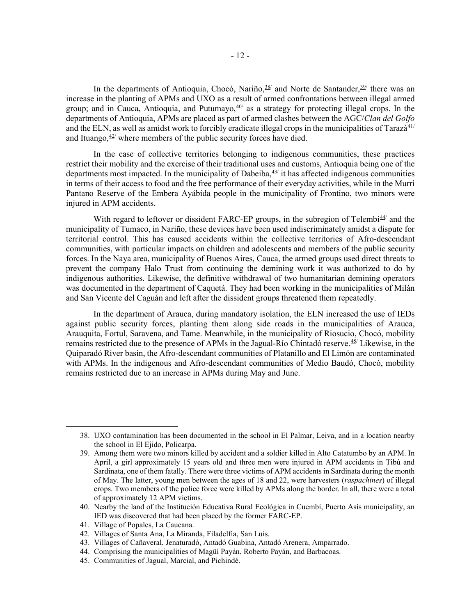In the departments of Antioquia, Chocó, Nariño, <sup>[38/](#page-13-0)</sup> and Norte de Santander, <sup>[39/](#page-13-1)</sup> there was an increase in the planting of APMs and UXO as a result of armed confrontations between illegal armed group; and in Cauca, Antioquia, and Putumayo,  $40/$  as a strategy for protecting illegal crops. In the departments of Antioquia, APMs are placed as part of armed clashes between the AGC/*Clan del Golfo* and the ELN, as well as amidst work to forcibly eradicate illegal crops in the municipalities of Tarazá<sup>[41/](#page-13-3)</sup> and Ituango,  $42$ <sup> $\prime$ </sup> where members of the public security forces have died.

In the case of collective territories belonging to indigenous communities, these practices restrict their mobility and the exercise of their traditional uses and customs, Antioquia being one of the departments most impacted. In the municipality of Dabeiba, $43/$  it has affected indigenous communities in terms of their access to food and the free performance of their everyday activities, while in the Murrí Pantano Reserve of the Embera Ayábida people in the municipality of Frontino, two minors were injured in APM accidents.

With regard to leftover or dissident FARC-EP groups, in the subregion of Telembi $44^{\prime\prime}$  and the municipality of Tumaco, in Nariño, these devices have been used indiscriminately amidst a dispute for territorial control. This has caused accidents within the collective territories of Afro-descendant communities, with particular impacts on children and adolescents and members of the public security forces. In the Naya area, municipality of Buenos Aires, Cauca, the armed groups used direct threats to prevent the company Halo Trust from continuing the demining work it was authorized to do by indigenous authorities. Likewise, the definitive withdrawal of two humanitarian demining operators was documented in the department of Caquetá. They had been working in the municipalities of Milán and San Vicente del Caguán and left after the dissident groups threatened them repeatedly.

In the department of Arauca, during mandatory isolation, the ELN increased the use of IEDs against public security forces, planting them along side roads in the municipalities of Arauca, Arauquita, Fortul, Saravena, and Tame. Meanwhile, in the municipality of Riosucio, Chocó, mobility remains restricted due to the presence of APMs in the Jagual-Río Chintadó reserve.[45](#page-13-7)/ Likewise, in the Quiparadó River basin, the Afro-descendant communities of Platanillo and El Limón are contaminated with APMs. In the indigenous and Afro-descendant communities of Medio Baudó, Chocó, mobility remains restricted due to an increase in APMs during May and June.

<span id="page-13-0"></span><sup>38.</sup> UXO contamination has been documented in the school in El Palmar, Leiva, and in a location nearby the school in El Ejido, Policarpa.

<span id="page-13-1"></span><sup>39.</sup> Among them were two minors killed by accident and a soldier killed in Alto Catatumbo by an APM. In April, a girl approximately 15 years old and three men were injured in APM accidents in Tibú and Sardinata, one of them fatally. There were three victims of APM accidents in Sardinata during the month of May. The latter, young men between the ages of 18 and 22, were harvesters (*raspachines*) of illegal crops. Two members of the police force were killed by APMs along the border. In all, there were a total of approximately 12 APM victims.

<span id="page-13-2"></span><sup>40.</sup> Nearby the land of the Institución Educativa Rural Ecológica in Cuembí, Puerto Asís municipality, an IED was discovered that had been placed by the former FARC-EP.

<span id="page-13-3"></span><sup>41.</sup> Village of Popales, La Caucana.

<span id="page-13-4"></span><sup>42.</sup> Villages of Santa Ana, La Miranda, Filadelfia, San Luis.

<span id="page-13-5"></span><sup>43.</sup> Villages of Cañaveral, Jenaturadó, Antadó Guabina, Antadó Arenera, Amparrado.

<span id="page-13-6"></span><sup>44.</sup> Comprising the municipalities of Magüí Payán, Roberto Payán, and Barbacoas.

<span id="page-13-7"></span><sup>45.</sup> Communities of Jagual, Marcial, and Pichindé.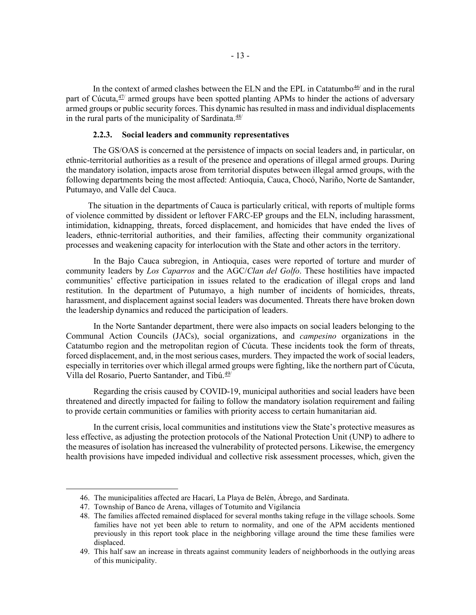In the context of armed clashes between the ELN and the EPL in Catatumbo $46/$  and in the rural part of Cúcuta, $47/$  armed groups have been spotted planting APMs to hinder the actions of adversary armed groups or public security forces. This dynamic has resulted in mass and individual displacements in the rural parts of the municipality of Sardinata.  $48/$  $48/$ 

#### **2.2.3. Social leaders and community representatives**

The GS/OAS is concerned at the persistence of impacts on social leaders and, in particular, on ethnic-territorial authorities as a result of the presence and operations of illegal armed groups. During the mandatory isolation, impacts arose from territorial disputes between illegal armed groups, with the following departments being the most affected: Antioquia, Cauca, Chocó, Nariño, Norte de Santander, Putumayo, and Valle del Cauca.

The situation in the departments of Cauca is particularly critical, with reports of multiple forms of violence committed by dissident or leftover FARC-EP groups and the ELN, including harassment, intimidation, kidnapping, threats, forced displacement, and homicides that have ended the lives of leaders, ethnic-territorial authorities, and their families, affecting their community organizational processes and weakening capacity for interlocution with the State and other actors in the territory.

In the Bajo Cauca subregion, in Antioquia, cases were reported of torture and murder of community leaders by *Los Caparros* and the AGC/*Clan del Golfo*. These hostilities have impacted communities' effective participation in issues related to the eradication of illegal crops and land restitution. In the department of Putumayo, a high number of incidents of homicides, threats, harassment, and displacement against social leaders was documented. Threats there have broken down the leadership dynamics and reduced the participation of leaders.

In the Norte Santander department, there were also impacts on social leaders belonging to the Communal Action Councils (JACs), social organizations, and *campesino* organizations in the Catatumbo region and the metropolitan region of Cúcuta. These incidents took the form of threats, forced displacement, and, in the most serious cases, murders. They impacted the work of social leaders, especially in territories over which illegal armed groups were fighting, like the northern part of Cúcuta, Villa del Rosario, Puerto Santander, and Tibú.<sup>[49](#page-14-3)/</sup>

Regarding the crisis caused by COVID-19, municipal authorities and social leaders have been threatened and directly impacted for failing to follow the mandatory isolation requirement and failing to provide certain communities or families with priority access to certain humanitarian aid.

In the current crisis, local communities and institutions view the State's protective measures as less effective, as adjusting the protection protocols of the National Protection Unit (UNP) to adhere to the measures of isolation has increased the vulnerability of protected persons. Likewise, the emergency health provisions have impeded individual and collective risk assessment processes, which, given the

<span id="page-14-0"></span><sup>46.</sup> The municipalities affected are Hacarí, La Playa de Belén, Ábrego, and Sardinata.

<span id="page-14-1"></span><sup>47.</sup> Township of Banco de Arena, villages of Totumito and Vigilancia

<span id="page-14-2"></span><sup>48.</sup> The families affected remained displaced for several months taking refuge in the village schools. Some families have not yet been able to return to normality, and one of the APM accidents mentioned previously in this report took place in the neighboring village around the time these families were displaced.

<span id="page-14-3"></span><sup>49.</sup> This half saw an increase in threats against community leaders of neighborhoods in the outlying areas of this municipality.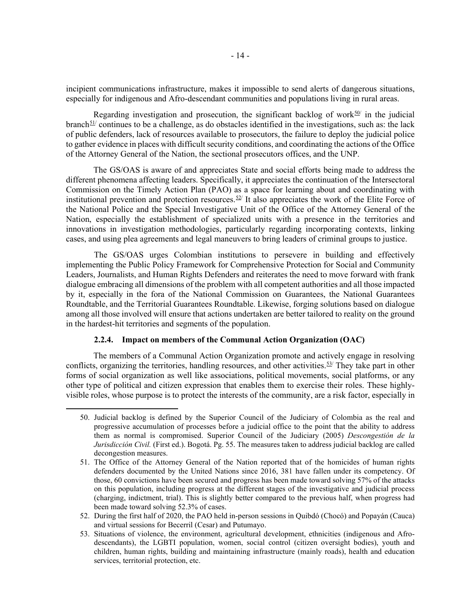incipient communications infrastructure, makes it impossible to send alerts of dangerous situations, especially for indigenous and Afro-descendant communities and populations living in rural areas.

Regarding investigation and prosecution, the significant backlog of work $50$  in the judicial branch<sup>[51](#page-15-1)/</sup> continues to be a challenge, as do obstacles identified in the investigations, such as: the lack of public defenders, lack of resources available to prosecutors, the failure to deploy the judicial police to gather evidence in places with difficult security conditions, and coordinating the actions of the Office of the Attorney General of the Nation, the sectional prosecutors offices, and the UNP.

The GS/OAS is aware of and appreciates State and social efforts being made to address the different phenomena affecting leaders. Specifically, it appreciates the continuation of the Intersectoral Commission on the Timely Action Plan (PAO) as a space for learning about and coordinating with institutional prevention and protection resources.<sup>[52](#page-15-2)/</sup> It also appreciates the work of the Elite Force of the National Police and the Special Investigative Unit of the Office of the Attorney General of the Nation, especially the establishment of specialized units with a presence in the territories and innovations in investigation methodologies, particularly regarding incorporating contexts, linking cases, and using plea agreements and legal maneuvers to bring leaders of criminal groups to justice.

The GS/OAS urges Colombian institutions to persevere in building and effectively implementing the Public Policy Framework for Comprehensive Protection for Social and Community Leaders, Journalists, and Human Rights Defenders and reiterates the need to move forward with frank dialogue embracing all dimensions of the problem with all competent authorities and all those impacted by it, especially in the fora of the National Commission on Guarantees, the National Guarantees Roundtable, and the Territorial Guarantees Roundtable. Likewise, forging solutions based on dialogue among all those involved will ensure that actions undertaken are better tailored to reality on the ground in the hardest-hit territories and segments of the population.

#### **2.2.4. Impact on members of the Communal Action Organization (OAC)**

The members of a Communal Action Organization promote and actively engage in resolving conflicts, organizing the territories, handling resources, and other activities. $53/$  $53/$  They take part in other forms of social organization as well like associations, political movements, social platforms, or any other type of political and citizen expression that enables them to exercise their roles. These highlyvisible roles, whose purpose is to protect the interests of the community, are a risk factor, especially in

<span id="page-15-0"></span><sup>50.</sup> Judicial backlog is defined by the Superior Council of the Judiciary of Colombia as the real and progressive accumulation of processes before a judicial office to the point that the ability to address them as normal is compromised. Superior Council of the Judiciary (2005) *Descongestión de la Jurisdicción Civil.* (First ed.). Bogotá. Pg. 55. The measures taken to address judicial backlog are called decongestion measures.

<span id="page-15-1"></span><sup>51.</sup> The Office of the Attorney General of the Nation reported that of the homicides of human rights defenders documented by the United Nations since 2016, 381 have fallen under its competency. Of those, 60 convictions have been secured and progress has been made toward solving 57% of the attacks on this population, including progress at the different stages of the investigative and judicial process (charging, indictment, trial). This is slightly better compared to the previous half, when progress had been made toward solving 52.3% of cases.

<span id="page-15-2"></span><sup>52.</sup> During the first half of 2020, the PAO held in-person sessions in Quibdó (Chocó) and Popayán (Cauca) and virtual sessions for Becerril (Cesar) and Putumayo.

<span id="page-15-3"></span><sup>53.</sup> Situations of violence, the environment, agricultural development, ethnicities (indigenous and Afrodescendants), the LGBTI population, women, social control (citizen oversight bodies), youth and children, human rights, building and maintaining infrastructure (mainly roads), health and education services, territorial protection, etc.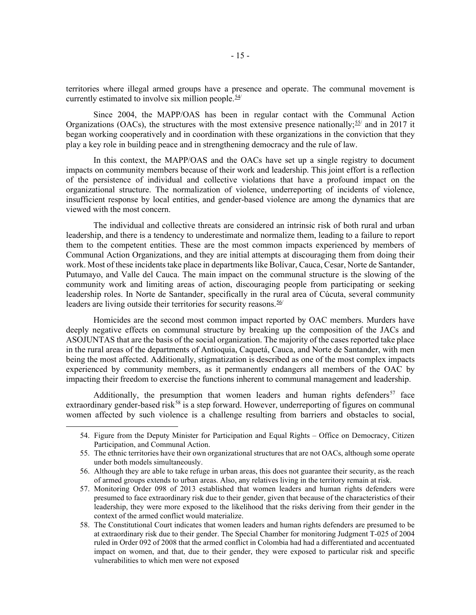territories where illegal armed groups have a presence and operate. The communal movement is currently estimated to involve six million people.  $\frac{54}{1}$  $\frac{54}{1}$  $\frac{54}{1}$ 

Since 2004, the MAPP/OAS has been in regular contact with the Communal Action Organizations (OACs), the structures with the most extensive presence nationally;  $55/$  and in 2017 it began working cooperatively and in coordination with these organizations in the conviction that they play a key role in building peace and in strengthening democracy and the rule of law.

In this context, the MAPP/OAS and the OACs have set up a single registry to document impacts on community members because of their work and leadership. This joint effort is a reflection of the persistence of individual and collective violations that have a profound impact on the organizational structure. The normalization of violence, underreporting of incidents of violence, insufficient response by local entities, and gender-based violence are among the dynamics that are viewed with the most concern.

The individual and collective threats are considered an intrinsic risk of both rural and urban leadership, and there is a tendency to underestimate and normalize them, leading to a failure to report them to the competent entities. These are the most common impacts experienced by members of Communal Action Organizations, and they are initial attempts at discouraging them from doing their work. Most of these incidents take place in departments like Bolívar, Cauca, Cesar, Norte de Santander, Putumayo, and Valle del Cauca. The main impact on the communal structure is the slowing of the community work and limiting areas of action, discouraging people from participating or seeking leadership roles. In Norte de Santander, specifically in the rural area of Cúcuta, several community leaders are living outside their territories for security reasons.  $56/$ 

Homicides are the second most common impact reported by OAC members. Murders have deeply negative effects on communal structure by breaking up the composition of the JACs and ASOJUNTAS that are the basis of the social organization. The majority of the cases reported take place in the rural areas of the departments of Antioquia, Caquetá, Cauca, and Norte de Santander, with men being the most affected. Additionally, stigmatization is described as one of the most complex impacts experienced by community members, as it permanently endangers all members of the OAC by impacting their freedom to exercise the functions inherent to communal management and leadership.

<span id="page-16-0"></span>Additionally, the presumption that women leaders and human rights defenders<sup>[57](#page-16-3)</sup> face extraordinary gender-based risk<sup>58</sup> is a step forward. However, underreporting of figures on communal women affected by such violence is a challenge resulting from barriers and obstacles to social,

<sup>54.</sup> Figure from the Deputy Minister for Participation and Equal Rights – Office on Democracy, Citizen Participation, and Communal Action.

<span id="page-16-1"></span><sup>55.</sup> The ethnic territories have their own organizational structures that are not OACs, although some operate under both models simultaneously.

<span id="page-16-2"></span><sup>56.</sup> Although they are able to take refuge in urban areas, this does not guarantee their security, as the reach of armed groups extends to urban areas. Also, any relatives living in the territory remain at risk.

<span id="page-16-3"></span><sup>57.</sup> Monitoring Order 098 of 2013 established that women leaders and human rights defenders were presumed to face extraordinary risk due to their gender, given that because of the characteristics of their leadership, they were more exposed to the likelihood that the risks deriving from their gender in the context of the armed conflict would materialize.

<span id="page-16-4"></span><sup>58.</sup> The Constitutional Court indicates that women leaders and human rights defenders are presumed to be at extraordinary risk due to their gender. The Special Chamber for monitoring Judgment T-025 of 2004 ruled in Order 092 of 2008 that the armed conflict in Colombia had had a differentiated and accentuated impact on women, and that, due to their gender, they were exposed to particular risk and specific vulnerabilities to which men were not exposed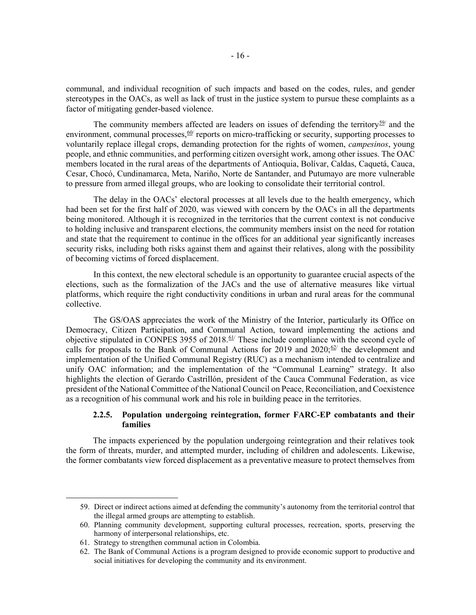communal, and individual recognition of such impacts and based on the codes, rules, and gender stereotypes in the OACs, as well as lack of trust in the justice system to pursue these complaints as a factor of mitigating gender-based violence.

The community members affected are leaders on issues of defending the territory<sup>59</sup> and the environment, communal processes,  $60$  reports on micro-trafficking or security, supporting processes to voluntarily replace illegal crops, demanding protection for the rights of women, *campesinos*, young people, and ethnic communities, and performing citizen oversight work, among other issues. The OAC members located in the rural areas of the departments of Antioquia, Bolívar, Caldas, Caquetá, Cauca, Cesar, Chocó, Cundinamarca, Meta, Nariño, Norte de Santander, and Putumayo are more vulnerable to pressure from armed illegal groups, who are looking to consolidate their territorial control.

The delay in the OACs' electoral processes at all levels due to the health emergency, which had been set for the first half of 2020, was viewed with concern by the OACs in all the departments being monitored. Although it is recognized in the territories that the current context is not conducive to holding inclusive and transparent elections, the community members insist on the need for rotation and state that the requirement to continue in the offices for an additional year significantly increases security risks, including both risks against them and against their relatives, along with the possibility of becoming victims of forced displacement.

In this context, the new electoral schedule is an opportunity to guarantee crucial aspects of the elections, such as the formalization of the JACs and the use of alternative measures like virtual platforms, which require the right conductivity conditions in urban and rural areas for the communal collective.

The GS/OAS appreciates the work of the Ministry of the Interior, particularly its Office on Democracy, Citizen Participation, and Communal Action, toward implementing the actions and objective stipulated in CONPES 3955 of 2018.<sup> $61$ </sup> These include compliance with the second cycle of calls for proposals to the Bank of Communal Actions for 2019 and 2020; $\frac{62}{7}$  the development and implementation of the Unified Communal Registry (RUC) as a mechanism intended to centralize and unify OAC information; and the implementation of the "Communal Learning" strategy. It also highlights the election of Gerardo Castrillón, president of the Cauca Communal Federation, as vice president of the National Committee of the National Council on Peace, Reconciliation, and Coexistence as a recognition of his communal work and his role in building peace in the territories.

# **2.2.5. Population undergoing reintegration, former FARC-EP combatants and their families**

The impacts experienced by the population undergoing reintegration and their relatives took the form of threats, murder, and attempted murder, including of children and adolescents. Likewise, the former combatants view forced displacement as a preventative measure to protect themselves from

<span id="page-17-0"></span><sup>59.</sup> Direct or indirect actions aimed at defending the community's autonomy from the territorial control that the illegal armed groups are attempting to establish.

<span id="page-17-1"></span><sup>60.</sup> Planning community development, supporting cultural processes, recreation, sports, preserving the harmony of interpersonal relationships, etc.

<span id="page-17-2"></span><sup>61.</sup> Strategy to strengthen communal action in Colombia.

<span id="page-17-3"></span><sup>62.</sup> The Bank of Communal Actions is a program designed to provide economic support to productive and social initiatives for developing the community and its environment.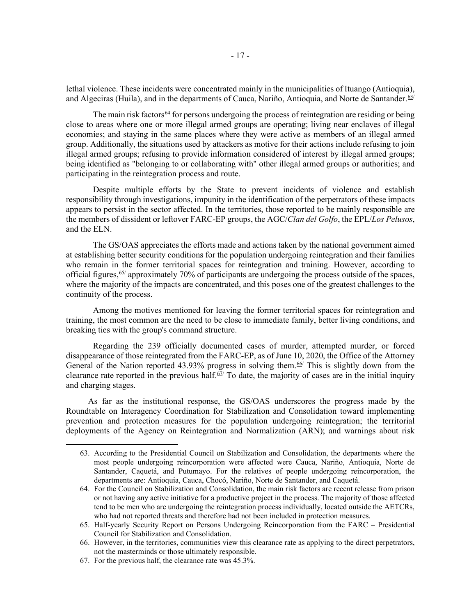lethal violence. These incidents were concentrated mainly in the municipalities of Ituango (Antioquia), and Algeciras (Huila), and in the departments of Cauca, Nariño, Antioquia, and Norte de Santander.<sup>[63/](#page-18-0)</sup>

The main risk factors<sup>[64](#page-18-1)</sup> for persons undergoing the process of reintegration are residing or being close to areas where one or more illegal armed groups are operating; living near enclaves of illegal economies; and staying in the same places where they were active as members of an illegal armed group. Additionally, the situations used by attackers as motive for their actions include refusing to join illegal armed groups; refusing to provide information considered of interest by illegal armed groups; being identified as "belonging to or collaborating with" other illegal armed groups or authorities; and participating in the reintegration process and route.

Despite multiple efforts by the State to prevent incidents of violence and establish responsibility through investigations, impunity in the identification of the perpetrators of these impacts appears to persist in the sector affected. In the territories, those reported to be mainly responsible are the members of dissident or leftover FARC-EP groups, the AGC/*Clan del Golfo*, the EPL/*Los Pelusos*, and the ELN.

The GS/OAS appreciates the efforts made and actions taken by the national government aimed at establishing better security conditions for the population undergoing reintegration and their families who remain in the former territorial spaces for reintegration and training. However, according to official figures,  $65/$  $65/$  approximately 70% of participants are undergoing the process outside of the spaces, where the majority of the impacts are concentrated, and this poses one of the greatest challenges to the continuity of the process.

Among the motives mentioned for leaving the former territorial spaces for reintegration and training, the most common are the need to be close to immediate family, better living conditions, and breaking ties with the group's command structure.

Regarding the 239 officially documented cases of murder, attempted murder, or forced disappearance of those reintegrated from the FARC-EP, as of June 10, 2020, the Office of the Attorney General of the Nation reported 43.93% progress in solving them.<sup>[66/](#page-18-3)</sup> This is slightly down from the clearance rate reported in the previous half. $67/$  To date, the majority of cases are in the initial inquiry and charging stages.

As far as the institutional response, the GS/OAS underscores the progress made by the Roundtable on Interagency Coordination for Stabilization and Consolidation toward implementing prevention and protection measures for the population undergoing reintegration; the territorial deployments of the Agency on Reintegration and Normalization (ARN); and warnings about risk

<span id="page-18-0"></span><sup>63.</sup> According to the Presidential Council on Stabilization and Consolidation, the departments where the most people undergoing reincorporation were affected were Cauca, Nariño, Antioquia, Norte de Santander, Caquetá, and Putumayo. For the relatives of people undergoing reincorporation, the departments are: Antioquia, Cauca, Chocó, Nariño, Norte de Santander, and Caquetá.

<span id="page-18-1"></span><sup>64.</sup> For the Council on Stabilization and Consolidation, the main risk factors are recent release from prison or not having any active initiative for a productive project in the process. The majority of those affected tend to be men who are undergoing the reintegration process individually, located outside the AETCRs, who had not reported threats and therefore had not been included in protection measures.

<span id="page-18-2"></span><sup>65.</sup> Half-yearly Security Report on Persons Undergoing Reincorporation from the FARC – Presidential Council for Stabilization and Consolidation.

<span id="page-18-3"></span><sup>66.</sup> However, in the territories, communities view this clearance rate as applying to the direct perpetrators, not the masterminds or those ultimately responsible.

<span id="page-18-4"></span><sup>67.</sup> For the previous half, the clearance rate was 45.3%.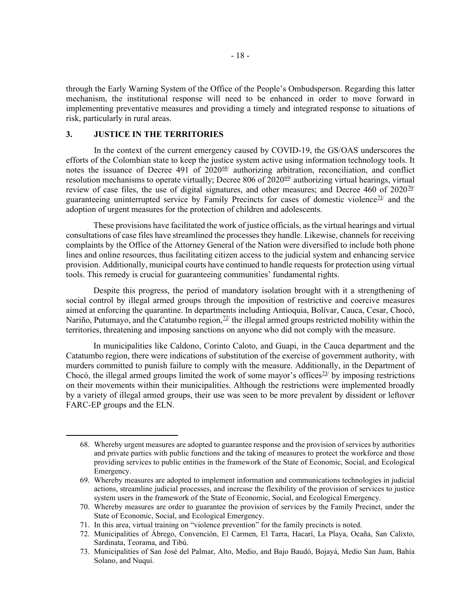through the Early Warning System of the Office of the People's Ombudsperson. Regarding this latter mechanism, the institutional response will need to be enhanced in order to move forward in implementing preventative measures and providing a timely and integrated response to situations of risk, particularly in rural areas.

# **3. JUSTICE IN THE TERRITORIES**

In the context of the current emergency caused by COVID-19, the GS/OAS underscores the efforts of the Colombian state to keep the justice system active using information technology tools. It notes the issuance of Decree 491 of  $2020^{68}$  authorizing arbitration, reconciliation, and conflict resolution mechanisms to operate virtually; Decree 806 of  $2020<sup>69</sup>$  authorizing virtual hearings, virtual review of case files, the use of digital signatures, and other measures; and Decree 460 of  $2020\frac{70}{1}$ guaranteeing uninterrupted service by Family Precincts for cases of domestic violence<sup> $21/$ </sup> and the adoption of urgent measures for the protection of children and adolescents.

These provisions have facilitated the work of justice officials, as the virtual hearings and virtual consultations of case files have streamlined the processes they handle. Likewise, channels for receiving complaints by the Office of the Attorney General of the Nation were diversified to include both phone lines and online resources, thus facilitating citizen access to the judicial system and enhancing service provision. Additionally, municipal courts have continued to handle requests for protection using virtual tools. This remedy is crucial for guaranteeing communities' fundamental rights.

Despite this progress, the period of mandatory isolation brought with it a strengthening of social control by illegal armed groups through the imposition of restrictive and coercive measures aimed at enforcing the quarantine. In departments including Antioquia, Bolívar, Cauca, Cesar, Chocó, Nariño, Putumayo, and the Catatumbo region, $72/$  the illegal armed groups restricted mobility within the territories, threatening and imposing sanctions on anyone who did not comply with the measure.

In municipalities like Caldono, Corinto Caloto, and Guapi, in the Cauca department and the Catatumbo region, there were indications of substitution of the exercise of government authority, with murders committed to punish failure to comply with the measure. Additionally, in the Department of Chocó, the illegal armed groups limited the work of some mayor's offices<sup> $73/$ </sup> by imposing restrictions on their movements within their municipalities. Although the restrictions were implemented broadly by a variety of illegal armed groups, their use was seen to be more prevalent by dissident or leftover FARC-EP groups and the ELN.

<span id="page-19-0"></span><sup>68.</sup> Whereby urgent measures are adopted to guarantee response and the provision of services by authorities and private parties with public functions and the taking of measures to protect the workforce and those providing services to public entities in the framework of the State of Economic, Social, and Ecological Emergency.

<span id="page-19-1"></span><sup>69.</sup> Whereby measures are adopted to implement information and communications technologies in judicial actions, streamline judicial processes, and increase the flexibility of the provision of services to justice system users in the framework of the State of Economic, Social, and Ecological Emergency.

<span id="page-19-2"></span><sup>70.</sup> Whereby measures are order to guarantee the provision of services by the Family Precinct, under the State of Economic, Social, and Ecological Emergency.

<span id="page-19-3"></span><sup>71.</sup> In this area, virtual training on "violence prevention" for the family precincts is noted.

<span id="page-19-4"></span><sup>72.</sup> Municipalities of Ábrego, Convención, El Carmen, El Tarra, Hacarí, La Playa, Ocaña, San Calixto, Sardinata, Teorama, and Tibú.

<span id="page-19-5"></span><sup>73.</sup> Municipalities of San José del Palmar, Alto, Medio, and Bajo Baudó, Bojayá, Medio San Juan, Bahía Solano, and Nuquí.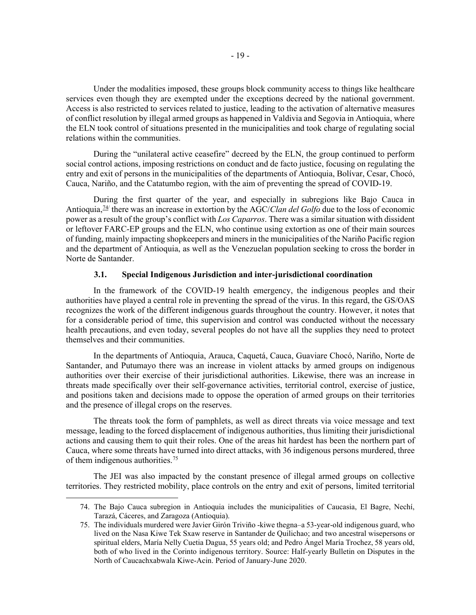Under the modalities imposed, these groups block community access to things like healthcare services even though they are exempted under the exceptions decreed by the national government. Access is also restricted to services related to justice, leading to the activation of alternative measures of conflict resolution by illegal armed groups as happened in Valdivia and Segovia in Antioquia, where the ELN took control of situations presented in the municipalities and took charge of regulating social relations within the communities.

During the "unilateral active ceasefire" decreed by the ELN, the group continued to perform social control actions, imposing restrictions on conduct and de facto justice, focusing on regulating the entry and exit of persons in the municipalities of the departments of Antioquia, Bolívar, Cesar, Chocó, Cauca, Nariño, and the Catatumbo region, with the aim of preventing the spread of COVID-19.

During the first quarter of the year, and especially in subregions like Bajo Cauca in Antioquia,[74](#page-20-0)/ there was an increase in extortion by the AGC/*Clan del Golfo* due to the loss of economic power as a result of the group's conflict with *Los Caparros*. There was a similar situation with dissident or leftover FARC-EP groups and the ELN, who continue using extortion as one of their main sources of funding, mainly impacting shopkeepers and miners in the municipalities of the Nariño Pacific region and the department of Antioquia, as well as the Venezuelan population seeking to cross the border in Norte de Santander.

#### **3.1. Special Indigenous Jurisdiction and inter-jurisdictional coordination**

In the framework of the COVID-19 health emergency, the indigenous peoples and their authorities have played a central role in preventing the spread of the virus. In this regard, the GS/OAS recognizes the work of the different indigenous guards throughout the country. However, it notes that for a considerable period of time, this supervision and control was conducted without the necessary health precautions, and even today, several peoples do not have all the supplies they need to protect themselves and their communities.

In the departments of Antioquia, Arauca, Caquetá, Cauca, Guaviare Chocó, Nariño, Norte de Santander, and Putumayo there was an increase in violent attacks by armed groups on indigenous authorities over their exercise of their jurisdictional authorities. Likewise, there was an increase in threats made specifically over their self-governance activities, territorial control, exercise of justice, and positions taken and decisions made to oppose the operation of armed groups on their territories and the presence of illegal crops on the reserves.

The threats took the form of pamphlets, as well as direct threats via voice message and text message, leading to the forced displacement of indigenous authorities, thus limiting their jurisdictional actions and causing them to quit their roles. One of the areas hit hardest has been the northern part of Cauca, where some threats have turned into direct attacks, with 36 indigenous persons murdered, three of them indigenous authorities.[75](#page-20-1)

<span id="page-20-0"></span>The JEI was also impacted by the constant presence of illegal armed groups on collective territories. They restricted mobility, place controls on the entry and exit of persons, limited territorial

<sup>74.</sup> The Bajo Cauca subregion in Antioquia includes the municipalities of Caucasia, El Bagre, Nechí, Tarazá, Cáceres, and Zaragoza (Antioquia).

<span id="page-20-1"></span><sup>75.</sup> The individuals murdered were Javier Girón Triviño -kiwe thegna–a 53-year-old indigenous guard, who lived on the Nasa Kiwe Tek Sxaw reserve in Santander de Quilichao; and two ancestral wisepersons or spiritual elders, María Nelly Cuetia Dagua, 55 years old; and Pedro Ángel María Trochez, 58 years old, both of who lived in the Corinto indigenous territory. Source: Half-yearly Bulletin on Disputes in the North of Caucachxabwala Kiwe-Acin. Period of January-June 2020.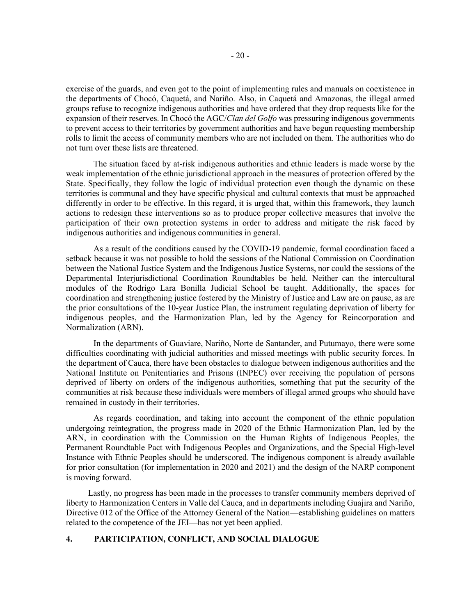exercise of the guards, and even got to the point of implementing rules and manuals on coexistence in the departments of Chocó, Caquetá, and Nariño. Also, in Caquetá and Amazonas, the illegal armed groups refuse to recognize indigenous authorities and have ordered that they drop requests like for the expansion of their reserves. In Chocó the AGC/*Clan del Golfo* was pressuring indigenous governments to prevent access to their territories by government authorities and have begun requesting membership rolls to limit the access of community members who are not included on them. The authorities who do not turn over these lists are threatened.

The situation faced by at-risk indigenous authorities and ethnic leaders is made worse by the weak implementation of the ethnic jurisdictional approach in the measures of protection offered by the State. Specifically, they follow the logic of individual protection even though the dynamic on these territories is communal and they have specific physical and cultural contexts that must be approached differently in order to be effective. In this regard, it is urged that, within this framework, they launch actions to redesign these interventions so as to produce proper collective measures that involve the participation of their own protection systems in order to address and mitigate the risk faced by indigenous authorities and indigenous communities in general.

As a result of the conditions caused by the COVID-19 pandemic, formal coordination faced a setback because it was not possible to hold the sessions of the National Commission on Coordination between the National Justice System and the Indigenous Justice Systems, nor could the sessions of the Departmental Interjurisdictional Coordination Roundtables be held. Neither can the intercultural modules of the Rodrigo Lara Bonilla Judicial School be taught. Additionally, the spaces for coordination and strengthening justice fostered by the Ministry of Justice and Law are on pause, as are the prior consultations of the 10-year Justice Plan, the instrument regulating deprivation of liberty for indigenous peoples, and the Harmonization Plan, led by the Agency for Reincorporation and Normalization (ARN).

In the departments of Guaviare, Nariño, Norte de Santander, and Putumayo, there were some difficulties coordinating with judicial authorities and missed meetings with public security forces. In the department of Cauca, there have been obstacles to dialogue between indigenous authorities and the National Institute on Penitentiaries and Prisons (INPEC) over receiving the population of persons deprived of liberty on orders of the indigenous authorities, something that put the security of the communities at risk because these individuals were members of illegal armed groups who should have remained in custody in their territories.

As regards coordination, and taking into account the component of the ethnic population undergoing reintegration, the progress made in 2020 of the Ethnic Harmonization Plan, led by the ARN, in coordination with the Commission on the Human Rights of Indigenous Peoples, the Permanent Roundtable Pact with Indigenous Peoples and Organizations, and the Special High-level Instance with Ethnic Peoples should be underscored. The indigenous component is already available for prior consultation (for implementation in 2020 and 2021) and the design of the NARP component is moving forward.

Lastly, no progress has been made in the processes to transfer community members deprived of liberty to Harmonization Centers in Valle del Cauca, and in departments including Guajira and Nariño, Directive 012 of the Office of the Attorney General of the Nation—establishing guidelines on matters related to the competence of the JEI—has not yet been applied.

### **4. PARTICIPATION, CONFLICT, AND SOCIAL DIALOGUE**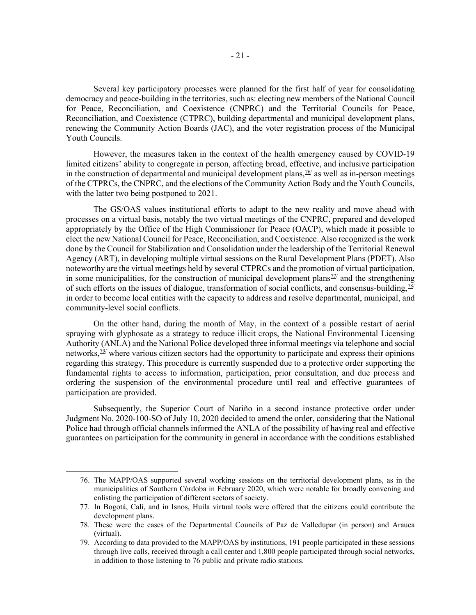Several key participatory processes were planned for the first half of year for consolidating democracy and peace-building in the territories, such as: electing new members of the National Council for Peace, Reconciliation, and Coexistence (CNPRC) and the Territorial Councils for Peace, Reconciliation, and Coexistence (CTPRC), building departmental and municipal development plans, renewing the Community Action Boards (JAC), and the voter registration process of the Municipal Youth Councils.

However, the measures taken in the context of the health emergency caused by COVID-19 limited citizens' ability to congregate in person, affecting broad, effective, and inclusive participation in the construction of departmental and municipal development plans,  $\frac{76}{7}$  as well as in-person meetings of the CTPRCs, the CNPRC, and the elections of the Community Action Body and the Youth Councils, with the latter two being postponed to 2021.

The GS/OAS values institutional efforts to adapt to the new reality and move ahead with processes on a virtual basis, notably the two virtual meetings of the CNPRC, prepared and developed appropriately by the Office of the High Commissioner for Peace (OACP), which made it possible to elect the new National Council for Peace, Reconciliation, and Coexistence. Also recognized is the work done by the Council for Stabilization and Consolidation under the leadership of the Territorial Renewal Agency (ART), in developing multiple virtual sessions on the Rural Development Plans (PDET). Also noteworthy are the virtual meetings held by several CTPRCs and the promotion of virtual participation, in some municipalities, for the construction of municipal development plans<sup> $22/$ </sup> and the strengthening of such efforts on the issues of dialogue, transformation of social conflicts, and consensus-building,  $\frac{78}{1}$ in order to become local entities with the capacity to address and resolve departmental, municipal, and community-level social conflicts.

On the other hand, during the month of May, in the context of a possible restart of aerial spraying with glyphosate as a strategy to reduce illicit crops, the National Environmental Licensing Authority (ANLA) and the National Police developed three informal meetings via telephone and social networks,<sup>[79](#page-22-3)/</sup> where various citizen sectors had the opportunity to participate and express their opinions regarding this strategy. This procedure is currently suspended due to a protective order supporting the fundamental rights to access to information, participation, prior consultation, and due process and ordering the suspension of the environmental procedure until real and effective guarantees of participation are provided.

Subsequently, the Superior Court of Nariño in a second instance protective order under Judgment No. 2020-100-SO of July 10, 2020 decided to amend the order, considering that the National Police had through official channels informed the ANLA of the possibility of having real and effective guarantees on participation for the community in general in accordance with the conditions established

<span id="page-22-0"></span><sup>76.</sup> The MAPP/OAS supported several working sessions on the territorial development plans, as in the municipalities of Southern Córdoba in February 2020, which were notable for broadly convening and enlisting the participation of different sectors of society.

<span id="page-22-1"></span><sup>77.</sup> In Bogotá, Cali, and in Isnos, Huila virtual tools were offered that the citizens could contribute the development plans.

<span id="page-22-2"></span><sup>78.</sup> These were the cases of the Departmental Councils of Paz de Valledupar (in person) and Arauca (virtual).

<span id="page-22-3"></span><sup>79.</sup> According to data provided to the MAPP/OAS by institutions, 191 people participated in these sessions through live calls, received through a call center and 1,800 people participated through social networks, in addition to those listening to 76 public and private radio stations.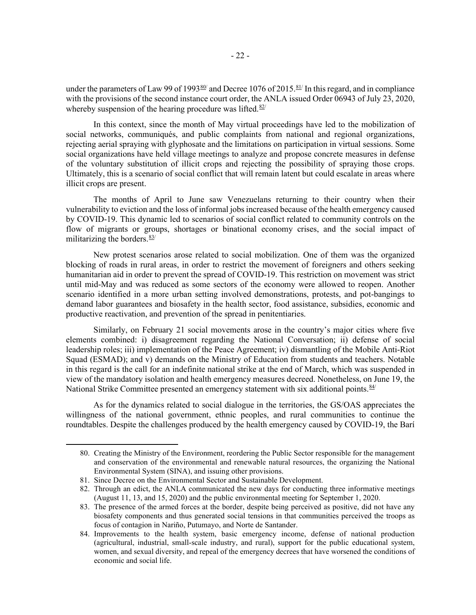under the parameters of Law 99 of 1993 $\frac{80}{1}$  and Decree 1076 of 2015.  $\frac{81}{1}$  In this regard, and in compliance with the provisions of the second instance court order, the ANLA issued Order 06943 of July 23, 2020, whereby suspension of the hearing procedure was lifted. $82/$ 

In this context, since the month of May virtual proceedings have led to the mobilization of social networks, communiqués, and public complaints from national and regional organizations, rejecting aerial spraying with glyphosate and the limitations on participation in virtual sessions. Some social organizations have held village meetings to analyze and propose concrete measures in defense of the voluntary substitution of illicit crops and rejecting the possibility of spraying those crops. Ultimately, this is a scenario of social conflict that will remain latent but could escalate in areas where illicit crops are present.

The months of April to June saw Venezuelans returning to their country when their vulnerability to eviction and the loss of informal jobs increased because of the health emergency caused by COVID-19. This dynamic led to scenarios of social conflict related to community controls on the flow of migrants or groups, shortages or binational economy crises, and the social impact of militarizing the borders. $\frac{83}{ }$  $\frac{83}{ }$  $\frac{83}{ }$ 

New protest scenarios arose related to social mobilization. One of them was the organized blocking of roads in rural areas, in order to restrict the movement of foreigners and others seeking humanitarian aid in order to prevent the spread of COVID-19. This restriction on movement was strict until mid-May and was reduced as some sectors of the economy were allowed to reopen. Another scenario identified in a more urban setting involved demonstrations, protests, and pot-bangings to demand labor guarantees and biosafety in the health sector, food assistance, subsidies, economic and productive reactivation, and prevention of the spread in penitentiaries.

Similarly, on February 21 social movements arose in the country's major cities where five elements combined: i) disagreement regarding the National Conversation; ii) defense of social leadership roles; iii) implementation of the Peace Agreement; iv) dismantling of the Mobile Anti-Riot Squad (ESMAD); and v) demands on the Ministry of Education from students and teachers. Notable in this regard is the call for an indefinite national strike at the end of March, which was suspended in view of the mandatory isolation and health emergency measures decreed. Nonetheless, on June 19, the National Strike Committee presented an emergency statement with six additional points. <sup>[84/](#page-23-4)</sup>

As for the dynamics related to social dialogue in the territories, the GS/OAS appreciates the willingness of the national government, ethnic peoples, and rural communities to continue the roundtables. Despite the challenges produced by the health emergency caused by COVID-19, the Barí

<span id="page-23-0"></span><sup>80.</sup> Creating the Ministry of the Environment, reordering the Public Sector responsible for the management and conservation of the environmental and renewable natural resources, the organizing the National Environmental System (SINA), and issuing other provisions.

<span id="page-23-1"></span><sup>81.</sup> Since Decree on the Environmental Sector and Sustainable Development.

<span id="page-23-2"></span><sup>82.</sup> Through an edict, the ANLA communicated the new days for conducting three informative meetings (August 11, 13, and 15, 2020) and the public environmental meeting for September 1, 2020.

<span id="page-23-3"></span><sup>83.</sup> The presence of the armed forces at the border, despite being perceived as positive, did not have any biosafety components and thus generated social tensions in that communities perceived the troops as focus of contagion in Nariño, Putumayo, and Norte de Santander.

<span id="page-23-4"></span><sup>84.</sup> Improvements to the health system, basic emergency income, defense of national production (agricultural, industrial, small-scale industry, and rural), support for the public educational system, women, and sexual diversity, and repeal of the emergency decrees that have worsened the conditions of economic and social life.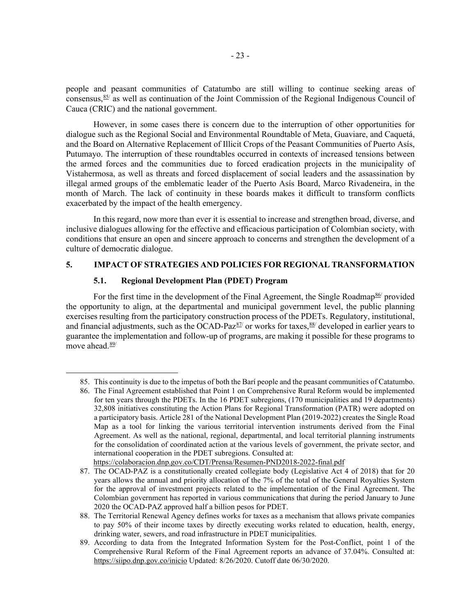people and peasant communities of Catatumbo are still willing to continue seeking areas of consensus,  $85$  as well as continuation of the Joint Commission of the Regional Indigenous Council of Cauca (CRIC) and the national government.

However, in some cases there is concern due to the interruption of other opportunities for dialogue such as the Regional Social and Environmental Roundtable of Meta, Guaviare, and Caquetá, and the Board on Alternative Replacement of Illicit Crops of the Peasant Communities of Puerto Asís, Putumayo. The interruption of these roundtables occurred in contexts of increased tensions between the armed forces and the communities due to forced eradication projects in the municipality of Vistahermosa, as well as threats and forced displacement of social leaders and the assassination by illegal armed groups of the emblematic leader of the Puerto Asís Board, Marco Rivadeneira, in the month of March. The lack of continuity in these boards makes it difficult to transform conflicts exacerbated by the impact of the health emergency.

In this regard, now more than ever it is essential to increase and strengthen broad, diverse, and inclusive dialogues allowing for the effective and efficacious participation of Colombian society, with conditions that ensure an open and sincere approach to concerns and strengthen the development of a culture of democratic dialogue.

### **5. IMPACT OF STRATEGIES AND POLICIES FOR REGIONAL TRANSFORMATION**

#### **5.1. Regional Development Plan (PDET) Program**

For the first time in the development of the Final Agreement, the Single Roadmap<sup>[86/](#page-24-1)</sup> provided the opportunity to align, at the departmental and municipal government level, the public planning exercises resulting from the participatory construction process of the PDETs. Regulatory, institutional, and financial adjustments, such as the OCAD-Paz $\frac{87}{1}$  $\frac{87}{1}$  $\frac{87}{1}$  or works for taxes,  $\frac{88}{1}$  $\frac{88}{1}$  $\frac{88}{1}$  developed in earlier years to guarantee the implementation and follow-up of programs, are making it possible for these programs to move ahead.<sup>[89](#page-24-4)/</sup>

<span id="page-24-0"></span><sup>85.</sup> This continuity is due to the impetus of both the Barí people and the peasant communities of Catatumbo.

<span id="page-24-1"></span><sup>86.</sup> The Final Agreement established that Point 1 on Comprehensive Rural Reform would be implemented for ten years through the PDETs. In the 16 PDET subregions, (170 municipalities and 19 departments) 32,808 initiatives constituting the Action Plans for Regional Transformation (PATR) were adopted on a participatory basis. Article 281 of the National Development Plan (2019-2022) creates the Single Road Map as a tool for linking the various territorial intervention instruments derived from the Final Agreement. As well as the national, regional, departmental, and local territorial planning instruments for the consolidation of coordinated action at the various levels of government, the private sector, and international cooperation in the PDET subregions. Consulted at:

[https://colaboracion.dnp.gov.co/CDT/Prensa/Resumen-PND2018-2022-final.pdf](about:blank)

<span id="page-24-2"></span><sup>87.</sup> The OCAD-PAZ is a constitutionally created collegiate body (Legislative Act 4 of 2018) that for 20 years allows the annual and priority allocation of the 7% of the total of the General Royalties System for the approval of investment projects related to the implementation of the Final Agreement. The Colombian government has reported in various communications that during the period January to June 2020 the OCAD-PAZ approved half a billion pesos for PDET.

<span id="page-24-3"></span><sup>88.</sup> The Territorial Renewal Agency defines works for taxes as a mechanism that allows private companies to pay 50% of their income taxes by directly executing works related to education, health, energy, drinking water, sewers, and road infrastructure in PDET municipalities.

<span id="page-24-4"></span><sup>89.</sup> According to data from the Integrated Information System for the Post-Conflict, point 1 of the Comprehensive Rural Reform of the Final Agreement reports an advance of 37.04%. Consulted at: [https://siipo.dnp.gov.co/inicio](about:blank) Updated: 8/26/2020. Cutoff date 06/30/2020.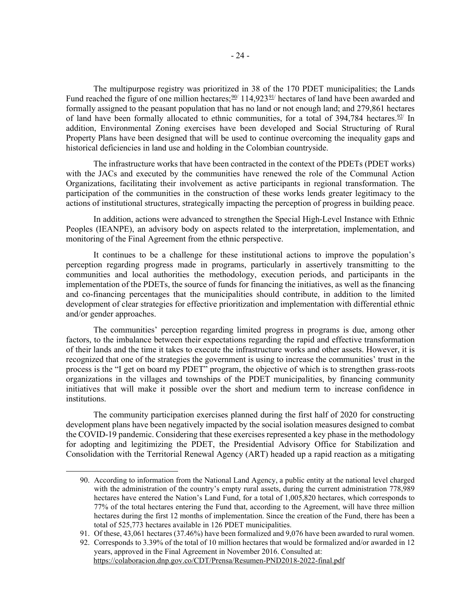The multipurpose registry was prioritized in 38 of the 170 PDET municipalities; the Lands Fund reached the figure of one million hectares;  $\frac{90}{114}$ , 923 $\frac{91}{114}$  hectares of land have been awarded and formally assigned to the peasant population that has no land or not enough land; and 279,861 hectares of land have been formally allocated to ethnic communities, for a total of  $394,784$  hectares.<sup>[92](#page-25-2)/</sup> In addition, Environmental Zoning exercises have been developed and Social Structuring of Rural Property Plans have been designed that will be used to continue overcoming the inequality gaps and historical deficiencies in land use and holding in the Colombian countryside.

The infrastructure works that have been contracted in the context of the PDETs (PDET works) with the JACs and executed by the communities have renewed the role of the Communal Action Organizations, facilitating their involvement as active participants in regional transformation. The participation of the communities in the construction of these works lends greater legitimacy to the actions of institutional structures, strategically impacting the perception of progress in building peace.

In addition, actions were advanced to strengthen the Special High-Level Instance with Ethnic Peoples (IEANPE), an advisory body on aspects related to the interpretation, implementation, and monitoring of the Final Agreement from the ethnic perspective.

It continues to be a challenge for these institutional actions to improve the population's perception regarding progress made in programs, particularly in assertively transmitting to the communities and local authorities the methodology, execution periods, and participants in the implementation of the PDETs, the source of funds for financing the initiatives, as well as the financing and co-financing percentages that the municipalities should contribute, in addition to the limited development of clear strategies for effective prioritization and implementation with differential ethnic and/or gender approaches.

The communities' perception regarding limited progress in programs is due, among other factors, to the imbalance between their expectations regarding the rapid and effective transformation of their lands and the time it takes to execute the infrastructure works and other assets. However, it is recognized that one of the strategies the government is using to increase the communities' trust in the process is the "I get on board my PDET" program, the objective of which is to strengthen grass-roots organizations in the villages and townships of the PDET municipalities, by financing community initiatives that will make it possible over the short and medium term to increase confidence in institutions.

The community participation exercises planned during the first half of 2020 for constructing development plans have been negatively impacted by the social isolation measures designed to combat the COVID-19 pandemic. Considering that these exercises represented a key phase in the methodology for adopting and legitimizing the PDET, the Presidential Advisory Office for Stabilization and Consolidation with the Territorial Renewal Agency (ART) headed up a rapid reaction as a mitigating

<span id="page-25-0"></span><sup>90.</sup> According to information from the National Land Agency, a public entity at the national level charged with the administration of the country's empty rural assets, during the current administration 778,989 hectares have entered the Nation's Land Fund, for a total of 1,005,820 hectares, which corresponds to 77% of the total hectares entering the Fund that, according to the Agreement, will have three million hectares during the first 12 months of implementation. Since the creation of the Fund, there has been a total of 525,773 hectares available in 126 PDET municipalities.

<span id="page-25-1"></span><sup>91.</sup> Of these, 43,061 hectares (37.46%) have been formalized and 9,076 have been awarded to rural women.

<span id="page-25-2"></span><sup>92.</sup> Corresponds to 3.39% of the total of 10 million hectares that would be formalized and/or awarded in 12 years, approved in the Final Agreement in November 2016. Consulted at: [https://colaboracion.dnp.gov.co/CDT/Prensa/Resumen-PND2018-2022-final.pdf](about:blank)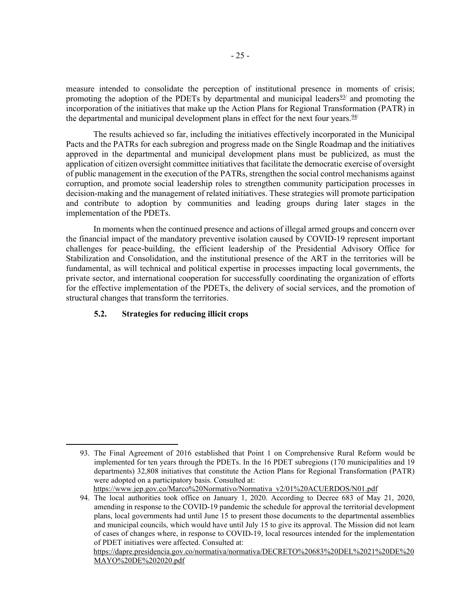measure intended to consolidate the perception of institutional presence in moments of crisis; promoting the adoption of the PDETs by departmental and municipal leaders $\frac{93}{1}$  $\frac{93}{1}$  $\frac{93}{1}$  and promoting the incorporation of the initiatives that make up the Action Plans for Regional Transformation (PATR) in the departmental and municipal development plans in effect for the next four years.  $\frac{94}{1}$  $\frac{94}{1}$  $\frac{94}{1}$ 

The results achieved so far, including the initiatives effectively incorporated in the Municipal Pacts and the PATRs for each subregion and progress made on the Single Roadmap and the initiatives approved in the departmental and municipal development plans must be publicized, as must the application of citizen oversight committee initiatives that facilitate the democratic exercise of oversight of public management in the execution of the PATRs, strengthen the social control mechanisms against corruption, and promote social leadership roles to strengthen community participation processes in decision-making and the management of related initiatives. These strategies will promote participation and contribute to adoption by communities and leading groups during later stages in the implementation of the PDETs.

In moments when the continued presence and actions of illegal armed groups and concern over the financial impact of the mandatory preventive isolation caused by COVID-19 represent important challenges for peace-building, the efficient leadership of the Presidential Advisory Office for Stabilization and Consolidation, and the institutional presence of the ART in the territories will be fundamental, as will technical and political expertise in processes impacting local governments, the private sector, and international cooperation for successfully coordinating the organization of efforts for the effective implementation of the PDETs, the delivery of social services, and the promotion of structural changes that transform the territories.

### **5.2. Strategies for reducing illicit crops**

[https://www.jep.gov.co/Marco%20Normativo/Normativa\\_v2/01%20ACUERDOS/N01.pdf](about:blank)

[https://dapre.presidencia.gov.co/normativa/normativa/DECRETO%20683%20DEL%2021%20DE%20](about:blank) [MAYO%20DE%202020.pdf](about:blank)

<span id="page-26-0"></span><sup>93.</sup> The Final Agreement of 2016 established that Point 1 on Comprehensive Rural Reform would be implemented for ten years through the PDETs. In the 16 PDET subregions (170 municipalities and 19 departments) 32,808 initiatives that constitute the Action Plans for Regional Transformation (PATR) were adopted on a participatory basis. Consulted at:

<span id="page-26-1"></span><sup>94.</sup> The local authorities took office on January 1, 2020. According to Decree 683 of May 21, 2020, amending in response to the COVID-19 pandemic the schedule for approval the territorial development plans, local governments had until June 15 to present those documents to the departmental assemblies and municipal councils, which would have until July 15 to give its approval. The Mission did not learn of cases of changes where, in response to COVID-19, local resources intended for the implementation of PDET initiatives were affected. Consulted at: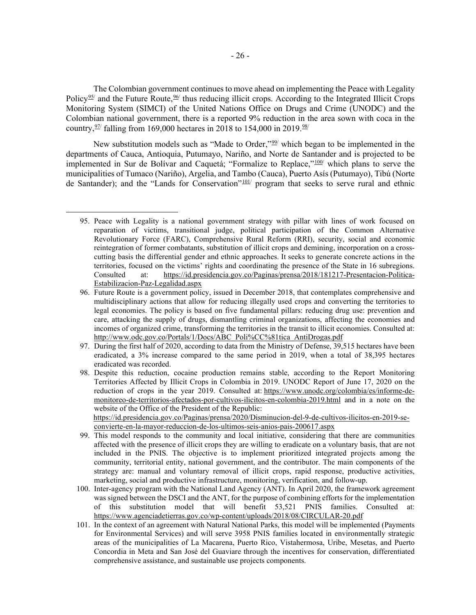The Colombian government continues to move ahead on implementing the Peace with Legality Policy<sup>[95/](#page-27-0)</sup> and the Future Route,  $\frac{96}{1}$  thus reducing illicit crops. According to the Integrated Illicit Crops Monitoring System (SIMCI) of the United Nations Office on Drugs and Crime (UNODC) and the Colombian national government, there is a reported 9% reduction in the area sown with coca in the country,  $\frac{97}{1}$  falling from 169,000 hectares in 2018 to 154,000 in 2019.

New substitution models such as "Made to Order,"<sup>[99/](#page-27-4)</sup> which began to be implemented in the departments of Cauca, Antioquia, Putumayo, Nariño, and Norte de Santander and is projected to be implemented in Sur de Bolívar and Caquetá; "Formalize to Replace,"<sup>[100](#page-27-5)</sup>/ which plans to serve the municipalities of Tumaco (Nariño), Argelia, and Tambo (Cauca), Puerto Asís (Putumayo), Tibú (Norte de Santander); and the "Lands for Conservation"<sup>101</sup>/ program that seeks to serve rural and ethnic

[convierte-en-la-mayor-reduccion-de-los-ultimos-seis-anios-pais-200617.aspx](https://id.presidencia.gov.co/Paginas/prensa/2020/Disminucion-del-9-de-cultivos-ilicitos-en-2019-se-convierte-en-la-mayor-reduccion-de-los-ultimos-seis-anios-pais-200617.aspx)

- <span id="page-27-4"></span>99. This model responds to the community and local initiative, considering that there are communities affected with the presence of illicit crops they are willing to eradicate on a voluntary basis, that are not included in the PNIS. The objective is to implement prioritized integrated projects among the community, territorial entity, national government, and the contributor. The main components of the strategy are: manual and voluntary removal of illicit crops, rapid response, productive activities, marketing, social and productive infrastructure, monitoring, verification, and follow-up.
- <span id="page-27-5"></span>100. Inter-agency program with the National Land Agency (ANT). In April 2020, the framework agreement was signed between the DSCI and the ANT, for the purpose of combining efforts for the implementation of this substitution model that will benefit 53,521 PNIS families. Consulted [https://www.agenciadetierras.gov.co/wp-content/uploads/2018/08/CIRCULAR-20.pdf](about:blank)
- <span id="page-27-6"></span>101. In the context of an agreement with Natural National Parks, this model will be implemented (Payments for Environmental Services) and will serve 3958 PNIS families located in environmentally strategic areas of the municipalities of La Macarena, Puerto Rico, Vistahermosa, Uribe, Mesetas, and Puerto Concordia in Meta and San José del Guaviare through the incentives for conservation, differentiated comprehensive assistance, and sustainable use projects components.

<span id="page-27-0"></span><sup>95.</sup> Peace with Legality is a national government strategy with pillar with lines of work focused on reparation of victims, transitional judge, political participation of the Common Alternative Revolutionary Force (FARC), Comprehensive Rural Reform (RRI), security, social and economic reintegration of former combatants, substitution of illicit crops and demining, incorporation on a crosscutting basis the differential gender and ethnic approaches. It seeks to generate concrete actions in the territories, focused on the victims' rights and coordinating the presence of the State in 16 subregions. Consulted at: [https://id.presidencia.gov.co/Paginas/prensa/2018/181217-Presentacion-Politica-](about:blank)[Estabilizacion-Paz-Legalidad.aspx](about:blank)

<span id="page-27-1"></span><sup>96.</sup> Future Route is a government policy, issued in December 2018, that contemplates comprehensive and multidisciplinary actions that allow for reducing illegally used crops and converting the territories to legal economies. The policy is based on five fundamental pillars: reducing drug use: prevention and care, attacking the supply of drugs, dismantling criminal organizations, affecting the economies and incomes of organized crime, transforming the territories in the transit to illicit economies. Consulted at: [http://www.odc.gov.co/Portals/1/Docs/ABC\\_Poli%CC%81tica\\_AntiDrogas.pdf](about:blank)

<span id="page-27-2"></span><sup>97.</sup> During the first half of 2020, according to data from the Ministry of Defense, 39,515 hectares have been eradicated, a 3% increase compared to the same period in 2019, when a total of 38,395 hectares eradicated was recorded.

<span id="page-27-3"></span><sup>98.</sup> Despite this reduction, cocaine production remains stable, according to the Report Monitoring Territories Affected by Illicit Crops in Colombia in 2019. UNODC Report of June 17, 2020 on the reduction of crops in the year 2019. Consulted at: [https://www.unodc.org/colombia/es/informe-de](https://www.unodc.org/colombia/es/informe-de-monitoreo-de-territorios-afectados-por-cultivos-ilicitos-en-colombia-2019.html)[monitoreo-de-territorios-afectados-por-cultivos-ilicitos-en-colombia-2019.html](https://www.unodc.org/colombia/es/informe-de-monitoreo-de-territorios-afectados-por-cultivos-ilicitos-en-colombia-2019.html) and in a note on the website of the Office of the President of the Republic: [https://id.presidencia.gov.co/Paginas/prensa/2020/Disminucion-del-9-de-cultivos-ilicitos-en-2019-se-](https://id.presidencia.gov.co/Paginas/prensa/2020/Disminucion-del-9-de-cultivos-ilicitos-en-2019-se-convierte-en-la-mayor-reduccion-de-los-ultimos-seis-anios-pais-200617.aspx)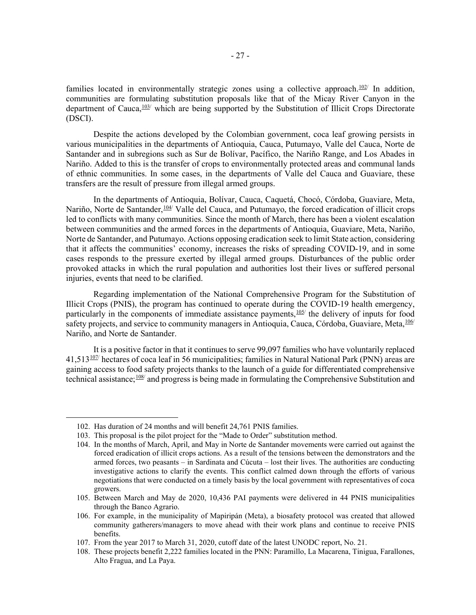families located in environmentally strategic zones using a collective approach.<sup>[102](#page-28-0)/</sup> In addition, communities are formulating substitution proposals like that of the Micay River Canyon in the department of Cauca, $\frac{103}{ }$  which are being supported by the Substitution of Illicit Crops Directorate (DSCI).

Despite the actions developed by the Colombian government, coca leaf growing persists in various municipalities in the departments of Antioquia, Cauca, Putumayo, Valle del Cauca, Norte de Santander and in subregions such as Sur de Bolívar, Pacífico, the Nariño Range, and Los Abades in Nariño. Added to this is the transfer of crops to environmentally protected areas and communal lands of ethnic communities. In some cases, in the departments of Valle del Cauca and Guaviare, these transfers are the result of pressure from illegal armed groups.

In the departments of Antioquia, Bolívar, Cauca, Caquetá, Chocó, Córdoba, Guaviare, Meta, Nariño, Norte de Santander, <sup>[104/](#page-28-2)</sup> Valle del Cauca, and Putumayo, the forced eradication of illicit crops led to conflicts with many communities. Since the month of March, there has been a violent escalation between communities and the armed forces in the departments of Antioquia, Guaviare, Meta, Nariño, Norte de Santander, and Putumayo. Actions opposing eradication seek to limit State action, considering that it affects the communities' economy, increases the risks of spreading COVID-19, and in some cases responds to the pressure exerted by illegal armed groups. Disturbances of the public order provoked attacks in which the rural population and authorities lost their lives or suffered personal injuries, events that need to be clarified.

Regarding implementation of the National Comprehensive Program for the Substitution of Illicit Crops (PNIS), the program has continued to operate during the COVID-19 health emergency, particularly in the components of immediate assistance payments,  $\frac{105}{100}$  $\frac{105}{100}$  $\frac{105}{100}$  the delivery of inputs for food safety projects, and service to community managers in Antioquia, Cauca, Córdoba, Guaviare, Meta, [106](#page-28-4)/ Nariño, and Norte de Santander.

It is a positive factor in that it continues to serve 99,097 families who have voluntarily replaced  $41,513^{107}$  $41,513^{107}$  $41,513^{107}$  hectares of coca leaf in 56 municipalities; families in Natural National Park (PNN) areas are gaining access to food safety projects thanks to the launch of a guide for differentiated comprehensive technical assistance;[108](#page-28-6)/ and progress is being made in formulating the Comprehensive Substitution and

<span id="page-28-0"></span><sup>102.</sup> Has duration of 24 months and will benefit 24,761 PNIS families.

<span id="page-28-1"></span><sup>103.</sup> This proposal is the pilot project for the "Made to Order" substitution method.

<span id="page-28-2"></span><sup>104.</sup> In the months of March, April, and May in Norte de Santander movements were carried out against the forced eradication of illicit crops actions. As a result of the tensions between the demonstrators and the armed forces, two peasants – in Sardinata and Cúcuta – lost their lives. The authorities are conducting investigative actions to clarify the events. This conflict calmed down through the efforts of various negotiations that were conducted on a timely basis by the local government with representatives of coca growers.

<span id="page-28-3"></span><sup>105.</sup> Between March and May de 2020, 10,436 PAI payments were delivered in 44 PNIS municipalities through the Banco Agrario.

<span id="page-28-4"></span><sup>106.</sup> For example, in the municipality of Mapiripán (Meta), a biosafety protocol was created that allowed community gatherers/managers to move ahead with their work plans and continue to receive PNIS benefits.

<span id="page-28-6"></span><span id="page-28-5"></span><sup>107.</sup> From the year 2017 to March 31, 2020, cutoff date of the latest UNODC report, No. 21.

<sup>108.</sup> These projects benefit 2,222 families located in the PNN: Paramillo, La Macarena, Tinigua, Farallones, Alto Fragua, and La Paya.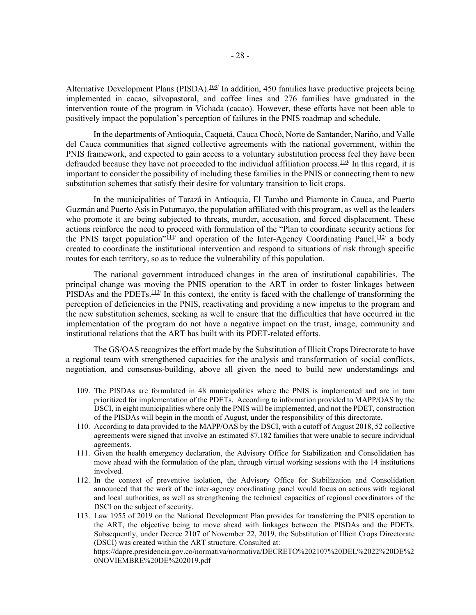Alternative Development Plans (PISDA).<sup>[109/](#page-29-0)</sup> In addition, 450 families have productive projects being implemented in cacao, silvopastoral, and coffee lines and 276 families have graduated in the intervention route of the program in Vichada (cacao). However, these efforts have not been able to positively impact the population's perception of failures in the PNIS roadmap and schedule.

In the departments of Antioquia, Caquetá, Cauca Chocó, Norte de Santander, Nariño, and Valle del Cauca communities that signed collective agreements with the national government, within the PNIS framework, and expected to gain access to a voluntary substitution process feel they have been defrauded because they have not proceeded to the individual affiliation process. $\frac{110}{10}$  In this regard, it is important to consider the possibility of including these families in the PNIS or connecting them to new substitution schemes that satisfy their desire for voluntary transition to licit crops.

In the municipalities of Tarazá in Antioquia, El Tambo and Piamonte in Cauca, and Puerto Guzmán and Puerto Asís in Putumayo, the population affiliated with this program, as well as the leaders who promote it are being subjected to threats, murder, accusation, and forced displacement. These actions reinforce the need to proceed with formulation of the "Plan to coordinate security actions for the PNIS target population" $111/$  and operation of the Inter-Agency Coordinating Panel,  $112/$  $112/$  a body created to coordinate the institutional intervention and respond to situations of risk through specific routes for each territory, so as to reduce the vulnerability of this population.

The national government introduced changes in the area of institutional capabilities. The principal change was moving the PNIS operation to the ART in order to foster linkages between PISDAs and the PDETs.<sup>[113](#page-29-4)/</sup> In this context, the entity is faced with the challenge of transforming the perception of deficiencies in the PNIS, reactivating and providing a new impetus to the program and the new substitution schemes, seeking as well to ensure that the difficulties that have occurred in the implementation of the program do not have a negative impact on the trust, image, community and institutional relations that the ART has built with its PDET-related efforts.

The GS/OAS recognizes the effort made by the Substitution of Illicit Crops Directorate to have a regional team with strengthened capacities for the analysis and transformation of social conflicts, negotiation, and consensus-building, above all given the need to build new understandings and

<span id="page-29-0"></span><sup>109.</sup> The PISDAs are formulated in 48 municipalities where the PNIS is implemented and are in turn prioritized for implementation of the PDETs. According to information provided to MAPP/OAS by the DSCI, in eight municipalities where only the PNIS will be implemented, and not the PDET, construction of the PISDAs will begin in the month of August, under the responsibility of this directorate.

<span id="page-29-1"></span><sup>110.</sup> According to data provided to the MAPP/OAS by the DSCI, with a cutoff of August 2018, 52 collective agreements were signed that involve an estimated 87,182 families that were unable to secure individual agreements.

<span id="page-29-2"></span><sup>111.</sup> Given the health emergency declaration, the Advisory Office for Stabilization and Consolidation has move ahead with the formulation of the plan, through virtual working sessions with the 14 institutions involved.

<span id="page-29-3"></span><sup>112.</sup> In the context of preventive isolation, the Advisory Office for Stabilization and Consolidation announced that the work of the inter-agency coordinating panel would focus on actions with regional and local authorities, as well as strengthening the technical capacities of regional coordinators of the DSCI on the subject of security.

<span id="page-29-4"></span><sup>113.</sup> Law 1955 of 2019 on the National Development Plan provides for transferring the PNIS operation to the ART, the objective being to move ahead with linkages between the PISDAs and the PDETs. Subsequently, under Decree 2107 of November 22, 2019, the Substitution of Illicit Crops Directorate (DSCI) was created within the ART structure. Consulted at:

[https://dapre.presidencia.gov.co/normativa/normativa/DECRETO%202107%20DEL%2022%20DE%2](about:blank) [0NOVIEMBRE%20DE%202019.pdf](about:blank)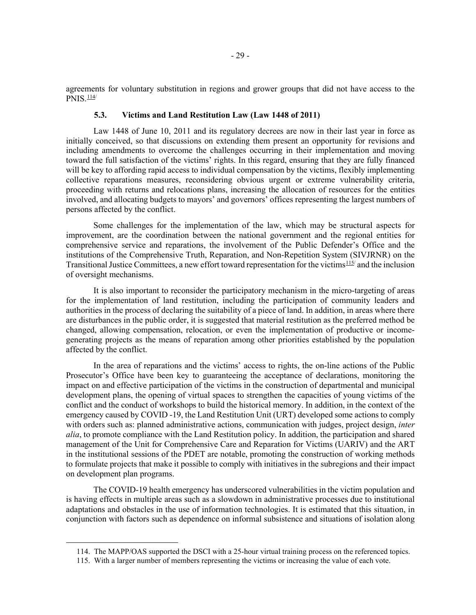agreements for voluntary substitution in regions and grower groups that did not have access to the  $P NIS.$  $\frac{114}{4}$ 

### **5.3. Victims and Land Restitution Law (Law 1448 of 2011)**

Law 1448 of June 10, 2011 and its regulatory decrees are now in their last year in force as initially conceived, so that discussions on extending them present an opportunity for revisions and including amendments to overcome the challenges occurring in their implementation and moving toward the full satisfaction of the victims' rights. In this regard, ensuring that they are fully financed will be key to affording rapid access to individual compensation by the victims, flexibly implementing collective reparations measures, reconsidering obvious urgent or extreme vulnerability criteria, proceeding with returns and relocations plans, increasing the allocation of resources for the entities involved, and allocating budgets to mayors' and governors' offices representing the largest numbers of persons affected by the conflict.

Some challenges for the implementation of the law, which may be structural aspects for improvement, are the coordination between the national government and the regional entities for comprehensive service and reparations, the involvement of the Public Defender's Office and the institutions of the Comprehensive Truth, Reparation, and Non-Repetition System (SIVJRNR) on the Transitional Justice Committees, a new effort toward representation for the victims<sup>[115/](#page-30-1)</sup> and the inclusion of oversight mechanisms.

It is also important to reconsider the participatory mechanism in the micro-targeting of areas for the implementation of land restitution, including the participation of community leaders and authorities in the process of declaring the suitability of a piece of land. In addition, in areas where there are disturbances in the public order, it is suggested that material restitution as the preferred method be changed, allowing compensation, relocation, or even the implementation of productive or incomegenerating projects as the means of reparation among other priorities established by the population affected by the conflict.

In the area of reparations and the victims' access to rights, the on-line actions of the Public Prosecutor's Office have been key to guaranteeing the acceptance of declarations, monitoring the impact on and effective participation of the victims in the construction of departmental and municipal development plans, the opening of virtual spaces to strengthen the capacities of young victims of the conflict and the conduct of workshops to build the historical memory. In addition, in the context of the emergency caused by COVID -19, the Land Restitution Unit (URT) developed some actions to comply with orders such as: planned administrative actions, communication with judges, project design, *inter alia*, to promote compliance with the Land Restitution policy. In addition, the participation and shared management of the Unit for Comprehensive Care and Reparation for Victims (UARIV) and the ART in the institutional sessions of the PDET are notable, promoting the construction of working methods to formulate projects that make it possible to comply with initiatives in the subregions and their impact on development plan programs.

The COVID-19 health emergency has underscored vulnerabilities in the victim population and is having effects in multiple areas such as a slowdown in administrative processes due to institutional adaptations and obstacles in the use of information technologies. It is estimated that this situation, in conjunction with factors such as dependence on informal subsistence and situations of isolation along

<sup>114.</sup> The MAPP/OAS supported the DSCI with a 25-hour virtual training process on the referenced topics.

<span id="page-30-1"></span><span id="page-30-0"></span><sup>115.</sup> With a larger number of members representing the victims or increasing the value of each vote.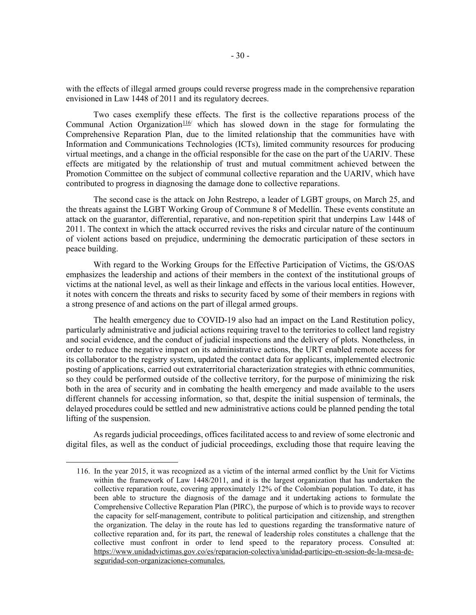with the effects of illegal armed groups could reverse progress made in the comprehensive reparation envisioned in Law 1448 of 2011 and its regulatory decrees.

Two cases exemplify these effects. The first is the collective reparations process of the Communal Action Organization<sup>[116](#page-31-0)</sup> which has slowed down in the stage for formulating the Comprehensive Reparation Plan, due to the limited relationship that the communities have with Information and Communications Technologies (ICTs), limited community resources for producing virtual meetings, and a change in the official responsible for the case on the part of the UARIV. These effects are mitigated by the relationship of trust and mutual commitment achieved between the Promotion Committee on the subject of communal collective reparation and the UARIV, which have contributed to progress in diagnosing the damage done to collective reparations.

The second case is the attack on John Restrepo, a leader of LGBT groups, on March 25, and the threats against the LGBT Working Group of Commune 8 of Medellín. These events constitute an attack on the guarantor, differential, reparative, and non-repetition spirit that underpins Law 1448 of 2011. The context in which the attack occurred revives the risks and circular nature of the continuum of violent actions based on prejudice, undermining the democratic participation of these sectors in peace building.

With regard to the Working Groups for the Effective Participation of Victims, the GS/OAS emphasizes the leadership and actions of their members in the context of the institutional groups of victims at the national level, as well as their linkage and effects in the various local entities. However, it notes with concern the threats and risks to security faced by some of their members in regions with a strong presence of and actions on the part of illegal armed groups.

The health emergency due to COVID-19 also had an impact on the Land Restitution policy, particularly administrative and judicial actions requiring travel to the territories to collect land registry and social evidence, and the conduct of judicial inspections and the delivery of plots. Nonetheless, in order to reduce the negative impact on its administrative actions, the URT enabled remote access for its collaborator to the registry system, updated the contact data for applicants, implemented electronic posting of applications, carried out extraterritorial characterization strategies with ethnic communities, so they could be performed outside of the collective territory, for the purpose of minimizing the risk both in the area of security and in combating the health emergency and made available to the users different channels for accessing information, so that, despite the initial suspension of terminals, the delayed procedures could be settled and new administrative actions could be planned pending the total lifting of the suspension.

<span id="page-31-0"></span>As regards judicial proceedings, offices facilitated access to and review of some electronic and digital files, as well as the conduct of judicial proceedings, excluding those that require leaving the

<sup>116.</sup> In the year 2015, it was recognized as a victim of the internal armed conflict by the Unit for Victims within the framework of Law 1448/2011, and it is the largest organization that has undertaken the collective reparation route, covering approximately 12% of the Colombian population. To date, it has been able to structure the diagnosis of the damage and it undertaking actions to formulate the Comprehensive Collective Reparation Plan (PIRC), the purpose of which is to provide ways to recover the capacity for self-management, contribute to political participation and citizenship, and strengthen the organization. The delay in the route has led to questions regarding the transformative nature of collective reparation and, for its part, the renewal of leadership roles constitutes a challenge that the collective must confront in order to lend speed to the reparatory process. Consulted at: [https://www.unidadvictimas.gov.co/es/reparacion-colectiva/unidad-participo-en-sesion-de-la-mesa-de](about:blank)[seguridad-con-organizaciones-comunales.](about:blank)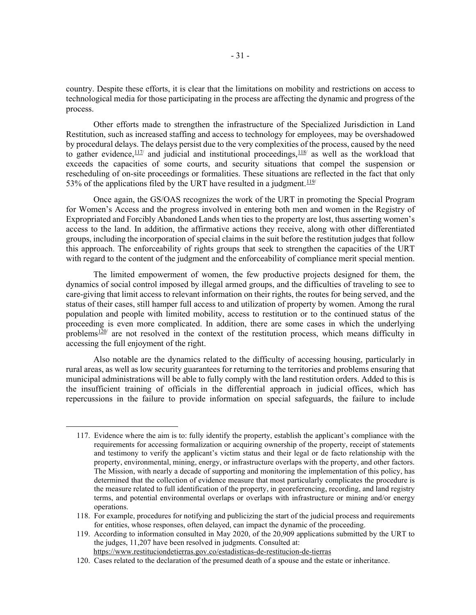country. Despite these efforts, it is clear that the limitations on mobility and restrictions on access to technological media for those participating in the process are affecting the dynamic and progress of the process.

Other efforts made to strengthen the infrastructure of the Specialized Jurisdiction in Land Restitution, such as increased staffing and access to technology for employees, may be overshadowed by procedural delays. The delays persist due to the very complexities of the process, caused by the need to gather evidence, $\frac{117}{7}$  $\frac{117}{7}$  $\frac{117}{7}$  and judicial and institutional proceedings,  $\frac{118}{7}$  as well as the workload that exceeds the capacities of some courts, and security situations that compel the suspension or rescheduling of on-site proceedings or formalities. These situations are reflected in the fact that only 53% of the applications filed by the URT have resulted in a judgment.  $119/$ 

Once again, the GS/OAS recognizes the work of the URT in promoting the Special Program for Women's Access and the progress involved in entering both men and women in the Registry of Expropriated and Forcibly Abandoned Lands when ties to the property are lost, thus asserting women's access to the land. In addition, the affirmative actions they receive, along with other differentiated groups, including the incorporation of special claims in the suit before the restitution judges that follow this approach. The enforceability of rights groups that seek to strengthen the capacities of the URT with regard to the content of the judgment and the enforceability of compliance merit special mention.

The limited empowerment of women, the few productive projects designed for them, the dynamics of social control imposed by illegal armed groups, and the difficulties of traveling to see to care-giving that limit access to relevant information on their rights, the routes for being served, and the status of their cases, still hamper full access to and utilization of property by women. Among the rural population and people with limited mobility, access to restitution or to the continued status of the proceeding is even more complicated. In addition, there are some cases in which the underlying problems $120$  are not resolved in the context of the restitution process, which means difficulty in accessing the full enjoyment of the right.

Also notable are the dynamics related to the difficulty of accessing housing, particularly in rural areas, as well as low security guarantees for returning to the territories and problems ensuring that municipal administrations will be able to fully comply with the land restitution orders. Added to this is the insufficient training of officials in the differential approach in judicial offices, which has repercussions in the failure to provide information on special safeguards, the failure to include

<span id="page-32-0"></span><sup>117.</sup> Evidence where the aim is to: fully identify the property, establish the applicant's compliance with the requirements for accessing formalization or acquiring ownership of the property, receipt of statements and testimony to verify the applicant's victim status and their legal or de facto relationship with the property, environmental, mining, energy, or infrastructure overlaps with the property, and other factors. The Mission, with nearly a decade of supporting and monitoring the implementation of this policy, has determined that the collection of evidence measure that most particularly complicates the procedure is the measure related to full identification of the property, in georeferencing, recording, and land registry terms, and potential environmental overlaps or overlaps with infrastructure or mining and/or energy operations.

<span id="page-32-1"></span><sup>118.</sup> For example, procedures for notifying and publicizing the start of the judicial process and requirements for entities, whose responses, often delayed, can impact the dynamic of the proceeding.

<span id="page-32-2"></span><sup>119.</sup> According to information consulted in May 2020, of the 20,909 applications submitted by the URT to the judges, 11,207 have been resolved in judgments. Consulted at: <https://www.restituciondetierras.gov.co/estadisticas-de-restitucion-de-tierras>

<span id="page-32-3"></span><sup>120.</sup> Cases related to the declaration of the presumed death of a spouse and the estate or inheritance.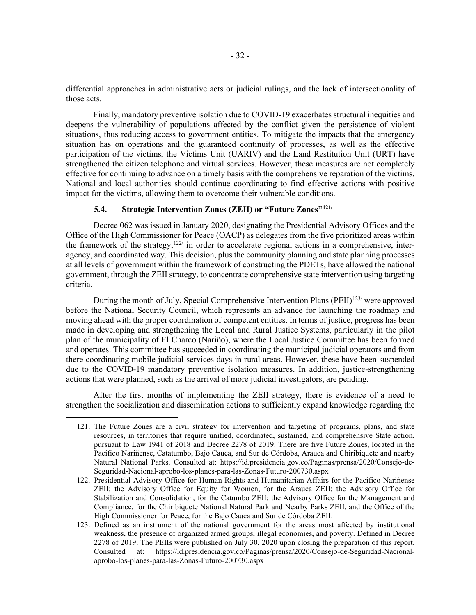differential approaches in administrative acts or judicial rulings, and the lack of intersectionality of those acts.

Finally, mandatory preventive isolation due to COVID-19 exacerbates structural inequities and deepens the vulnerability of populations affected by the conflict given the persistence of violent situations, thus reducing access to government entities. To mitigate the impacts that the emergency situation has on operations and the guaranteed continuity of processes, as well as the effective participation of the victims, the Victims Unit (UARIV) and the Land Restitution Unit (URT) have strengthened the citizen telephone and virtual services. However, these measures are not completely effective for continuing to advance on a timely basis with the comprehensive reparation of the victims. National and local authorities should continue coordinating to find effective actions with positive impact for the victims, allowing them to overcome their vulnerable conditions.

# **5.4. Strategic Intervention Zones (ZEII) or "Future Zones"[121/](#page-33-0)**

Decree 062 was issued in January 2020, designating the Presidential Advisory Offices and the Office of the High Commissioner for Peace (OACP) as delegates from the five prioritized areas within the framework of the strategy,  $\frac{122}{7}$  in order to accelerate regional actions in a comprehensive, interagency, and coordinated way. This decision, plus the community planning and state planning processes at all levels of government within the framework of constructing the PDETs, have allowed the national government, through the ZEII strategy, to concentrate comprehensive state intervention using targeting criteria.

During the month of July, Special Comprehensive Intervention Plans (PEII) $\frac{123}{123}$  $\frac{123}{123}$  $\frac{123}{123}$  were approved before the National Security Council, which represents an advance for launching the roadmap and moving ahead with the proper coordination of competent entities. In terms of justice, progress has been made in developing and strengthening the Local and Rural Justice Systems, particularly in the pilot plan of the municipality of El Charco (Nariño), where the Local Justice Committee has been formed and operates. This committee has succeeded in coordinating the municipal judicial operators and from there coordinating mobile judicial services days in rural areas. However, these have been suspended due to the COVID-19 mandatory preventive isolation measures. In addition, justice-strengthening actions that were planned, such as the arrival of more judicial investigators, are pending.

<span id="page-33-0"></span>After the first months of implementing the ZEII strategy, there is evidence of a need to strengthen the socialization and dissemination actions to sufficiently expand knowledge regarding the

<sup>121.</sup> The Future Zones are a civil strategy for intervention and targeting of programs, plans, and state resources, in territories that require unified, coordinated, sustained, and comprehensive State action, pursuant to Law 1941 of 2018 and Decree 2278 of 2019. There are five Future Zones, located in the Pacífico Nariñense, Catatumbo, Bajo Cauca, and Sur de Córdoba, Arauca and Chiribiquete and nearby Natural National Parks. Consulted at: [https://id.presidencia.gov.co/Paginas/prensa/2020/Consejo-de-](about:blank)[Seguridad-Nacional-aprobo-los-planes-para-las-Zonas-Futuro-200730.aspx](about:blank)

<span id="page-33-1"></span><sup>122.</sup> Presidential Advisory Office for Human Rights and Humanitarian Affairs for the Pacífico Nariñense ZEII; the Advisory Office for Equity for Women, for the Arauca ZEII; the Advisory Office for Stabilization and Consolidation, for the Catumbo ZEII; the Advisory Office for the Management and Compliance, for the Chiribiquete National Natural Park and Nearby Parks ZEII, and the Office of the High Commissioner for Peace, for the Bajo Cauca and Sur de Córdoba ZEII.

<span id="page-33-2"></span><sup>123.</sup> Defined as an instrument of the national government for the areas most affected by institutional weakness, the presence of organized armed groups, illegal economies, and poverty. Defined in Decree 2278 of 2019. The PEIIs were published on July 30, 2020 upon closing the preparation of this report. Consulted at: [https://id.presidencia.gov.co/Paginas/prensa/2020/Consejo-de-Seguridad-Nacional](about:blank)[aprobo-los-planes-para-las-Zonas-Futuro-200730.aspx](about:blank)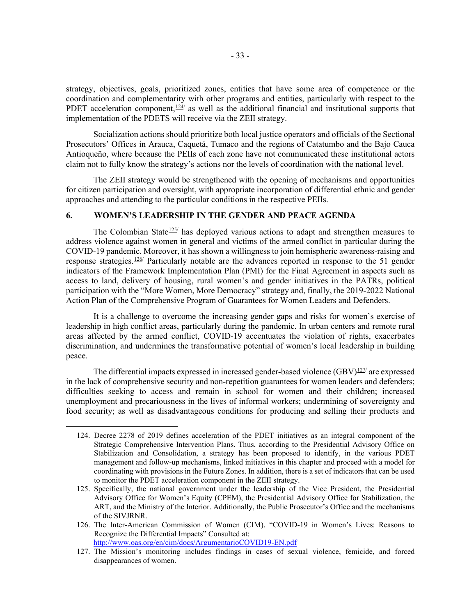strategy, objectives, goals, prioritized zones, entities that have some area of competence or the coordination and complementarity with other programs and entities, particularly with respect to the PDET acceleration component, $\frac{124}{4}$  $\frac{124}{4}$  $\frac{124}{4}$  as well as the additional financial and institutional supports that implementation of the PDETS will receive via the ZEII strategy.

Socialization actions should prioritize both local justice operators and officials of the Sectional Prosecutors' Offices in Arauca, Caquetá, Tumaco and the regions of Catatumbo and the Bajo Cauca Antioqueño, where because the PEIIs of each zone have not communicated these institutional actors claim not to fully know the strategy's actions nor the levels of coordination with the national level.

The ZEII strategy would be strengthened with the opening of mechanisms and opportunities for citizen participation and oversight, with appropriate incorporation of differential ethnic and gender approaches and attending to the particular conditions in the respective PEIIs.

# **6. WOMEN'S LEADERSHIP IN THE GENDER AND PEACE AGENDA**

The Colombian State<sup>[125/](#page-34-1)</sup> has deployed various actions to adapt and strengthen measures to address violence against women in general and victims of the armed conflict in particular during the COVID-19 pandemic. Moreover, it has shown a willingness to join hemispheric awareness-raising and response strategies.<sup>[126](#page-34-2)/</sup> Particularly notable are the advances reported in response to the 51 gender indicators of the Framework Implementation Plan (PMI) for the Final Agreement in aspects such as access to land, delivery of housing, rural women's and gender initiatives in the PATRs, political participation with the "More Women, More Democracy" strategy and, finally, the 2019-2022 National Action Plan of the Comprehensive Program of Guarantees for Women Leaders and Defenders.

It is a challenge to overcome the increasing gender gaps and risks for women's exercise of leadership in high conflict areas, particularly during the pandemic. In urban centers and remote rural areas affected by the armed conflict, COVID-19 accentuates the violation of rights, exacerbates discrimination, and undermines the transformative potential of women's local leadership in building peace.

The differential impacts expressed in increased gender-based violence  $(GBV)$ <sup>[127](#page-34-3)/</sup> are expressed in the lack of comprehensive security and non-repetition guarantees for women leaders and defenders; difficulties seeking to access and remain in school for women and their children; increased unemployment and precariousness in the lives of informal workers; undermining of sovereignty and food security; as well as disadvantageous conditions for producing and selling their products and

<span id="page-34-0"></span><sup>124.</sup> Decree 2278 of 2019 defines acceleration of the PDET initiatives as an integral component of the Strategic Comprehensive Intervention Plans. Thus, according to the Presidential Advisory Office on Stabilization and Consolidation, a strategy has been proposed to identify, in the various PDET management and follow-up mechanisms, linked initiatives in this chapter and proceed with a model for coordinating with provisions in the Future Zones. In addition, there is a set of indicators that can be used to monitor the PDET acceleration component in the ZEII strategy.

<span id="page-34-1"></span><sup>125.</sup> Specifically, the national government under the leadership of the Vice President, the Presidential Advisory Office for Women's Equity (CPEM), the Presidential Advisory Office for Stabilization, the ART, and the Ministry of the Interior. Additionally, the Public Prosecutor's Office and the mechanisms of the SIVJRNR.

<span id="page-34-2"></span><sup>126.</sup> The Inter-American Commission of Women (CIM). "COVID-19 in Women's Lives: Reasons to Recognize the Differential Impacts" Consulted at: <http://www.oas.org/en/cim/docs/ArgumentarioCOVID19-EN.pdf>

<span id="page-34-3"></span><sup>127.</sup> The Mission's monitoring includes findings in cases of sexual violence, femicide, and forced disappearances of women.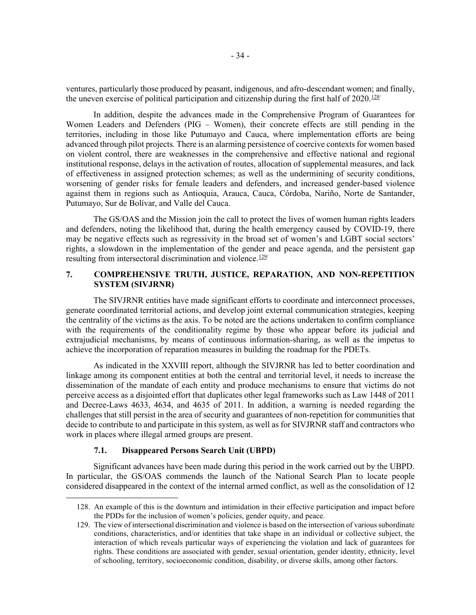ventures, particularly those produced by peasant, indigenous, and afro-descendant women; and finally, the uneven exercise of political participation and citizenship during the first half of  $2020$ .<sup>[128](#page-35-0)/</sup>

In addition, despite the advances made in the Comprehensive Program of Guarantees for Women Leaders and Defenders (PIG – Women), their concrete effects are still pending in the territories, including in those like Putumayo and Cauca, where implementation efforts are being advanced through pilot projects. There is an alarming persistence of coercive contexts for women based on violent control, there are weaknesses in the comprehensive and effective national and regional institutional response, delays in the activation of routes, allocation of supplemental measures, and lack of effectiveness in assigned protection schemes; as well as the undermining of security conditions, worsening of gender risks for female leaders and defenders, and increased gender-based violence against them in regions such as Antioquia, Arauca, Cauca, Córdoba, Nariño, Norte de Santander, Putumayo, Sur de Bolívar, and Valle del Cauca.

The GS/OAS and the Mission join the call to protect the lives of women human rights leaders and defenders, noting the likelihood that, during the health emergency caused by COVID-19, there may be negative effects such as regressivity in the broad set of women's and LGBT social sectors' rights, a slowdown in the implementation of the gender and peace agenda, and the persistent gap resulting from intersectoral discrimination and violence. $129/$  $129/$ 

# **7. COMPREHENSIVE TRUTH, JUSTICE, REPARATION, AND NON-REPETITION SYSTEM (SIVJRNR)**

The SIVJRNR entities have made significant efforts to coordinate and interconnect processes, generate coordinated territorial actions, and develop joint external communication strategies, keeping the centrality of the victims as the axis. To be noted are the actions undertaken to confirm compliance with the requirements of the conditionality regime by those who appear before its judicial and extrajudicial mechanisms, by means of continuous information-sharing, as well as the impetus to achieve the incorporation of reparation measures in building the roadmap for the PDETs.

As indicated in the XXVIII report, although the SIVJRNR has led to better coordination and linkage among its component entities at both the central and territorial level, it needs to increase the dissemination of the mandate of each entity and produce mechanisms to ensure that victims do not perceive access as a disjointed effort that duplicates other legal frameworks such as Law 1448 of 2011 and Decree-Laws 4633, 4634, and 4635 of 2011. In addition, a warning is needed regarding the challenges that still persist in the area of security and guarantees of non-repetition for communities that decide to contribute to and participate in this system, as well as for SIVJRNR staff and contractors who work in places where illegal armed groups are present.

### **7.1. Disappeared Persons Search Unit (UBPD)**

Significant advances have been made during this period in the work carried out by the UBPD. In particular, the GS/OAS commends the launch of the National Search Plan to locate people considered disappeared in the context of the internal armed conflict, as well as the consolidation of 12

<span id="page-35-0"></span><sup>128.</sup> An example of this is the downturn and intimidation in their effective participation and impact before the PDDs for the inclusion of women's policies, gender equity, and peace.

<span id="page-35-1"></span><sup>129.</sup> The view of intersectional discrimination and violence is based on the intersection of various subordinate conditions, characteristics, and/or identities that take shape in an individual or collective subject, the interaction of which reveals particular ways of experiencing the violation and lack of guarantees for rights. These conditions are associated with gender, sexual orientation, gender identity, ethnicity, level of schooling, territory, socioeconomic condition, disability, or diverse skills, among other factors.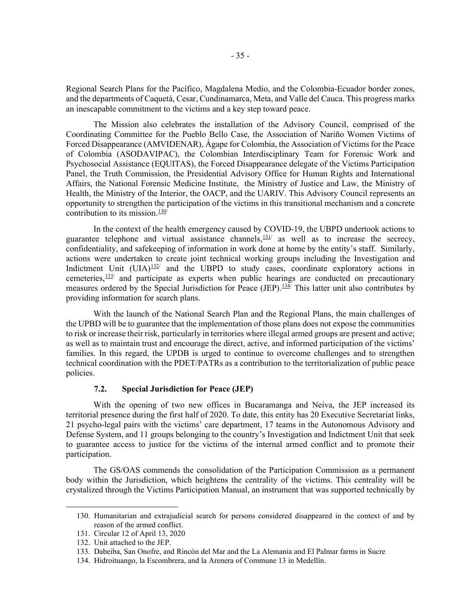Regional Search Plans for the Pacífico, Magdalena Medio, and the Colombia-Ecuador border zones, and the departments of Caquetá, Cesar, Cundinamarca, Meta, and Valle del Cauca. This progress marks an inescapable commitment to the victims and a key step toward peace.

The Mission also celebrates the installation of the Advisory Council, comprised of the Coordinating Committee for the Pueblo Bello Case, the Association of Nariño Women Victims of Forced Disappearance (AMVIDENAR), Ágape for Colombia, the Association of Victims for the Peace of Colombia (ASODAVIPAC), the Colombian Interdisciplinary Team for Forensic Work and Psychosocial Assistance (EQUITAS), the Forced Disappearance delegate of the Victims Participation Panel, the Truth Commission, the Presidential Advisory Office for Human Rights and International Affairs, the National Forensic Medicine Institute, the Ministry of Justice and Law, the Ministry of Health, the Ministry of the Interior, the OACP, and the UARIV. This Advisory Council represents an opportunity to strengthen the participation of the victims in this transitional mechanism and a concrete contribution to its mission. $\frac{130}{ }$ 

In the context of the health emergency caused by COVID-19, the UBPD undertook actions to guarantee telephone and virtual assistance channels,  $\frac{131}{12}$  $\frac{131}{12}$  $\frac{131}{12}$  as well as to increase the secrecy, confidentiality, and safekeeping of information in work done at home by the entity's staff. Similarly, actions were undertaken to create joint technical working groups including the Investigation and Indictment Unit  $(UIA)$ <sup>[132/](#page-36-2)</sup> and the UBPD to study cases, coordinate exploratory actions in cemeteries, $\frac{133}{ }$  and participate as experts when public hearings are conducted on precautionary measures ordered by the Special Jurisdiction for Peace (JEP).<sup>[134](#page-36-4)</sup> This latter unit also contributes by providing information for search plans.

With the launch of the National Search Plan and the Regional Plans, the main challenges of the UPBD will be to guarantee that the implementation of those plans does not expose the communities to risk or increase their risk, particularly in territories where illegal armed groups are present and active; as well as to maintain trust and encourage the direct, active, and informed participation of the victims' families. In this regard, the UPDB is urged to continue to overcome challenges and to strengthen technical coordination with the PDET/PATRs as a contribution to the territorialization of public peace policies.

### **7.2. Special Jurisdiction for Peace (JEP)**

With the opening of two new offices in Bucaramanga and Neiva, the JEP increased its territorial presence during the first half of 2020. To date, this entity has 20 Executive Secretariat links, 21 psycho-legal pairs with the victims' care department, 17 teams in the Autonomous Advisory and Defense System, and 11 groups belonging to the country's Investigation and Indictment Unit that seek to guarantee access to justice for the victims of the internal armed conflict and to promote their participation.

The GS/OAS commends the consolidation of the Participation Commission as a permanent body within the Jurisdiction, which heightens the centrality of the victims. This centrality will be crystalized through the Victims Participation Manual, an instrument that was supported technically by

<span id="page-36-0"></span><sup>130.</sup> Humanitarian and extrajudicial search for persons considered disappeared in the context of and by reason of the armed conflict.

<span id="page-36-2"></span><span id="page-36-1"></span><sup>131.</sup> Circular 12 of April 13, 2020

<sup>132.</sup> Unit attached to the JEP.

<span id="page-36-3"></span><sup>133.</sup> Dabeiba, San Onofre, and Rincón del Mar and the La Alemania and El Palmar farms in Sucre

<span id="page-36-4"></span><sup>134.</sup> Hidroituango, la Escombrera, and la Arenera of Commune 13 in Medellín.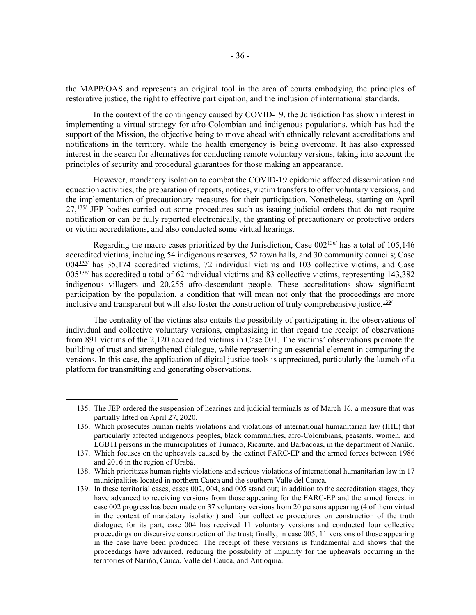the MAPP/OAS and represents an original tool in the area of courts embodying the principles of restorative justice, the right to effective participation, and the inclusion of international standards.

In the context of the contingency caused by COVID-19, the Jurisdiction has shown interest in implementing a virtual strategy for afro-Colombian and indigenous populations, which has had the support of the Mission, the objective being to move ahead with ethnically relevant accreditations and notifications in the territory, while the health emergency is being overcome. It has also expressed interest in the search for alternatives for conducting remote voluntary versions, taking into account the principles of security and procedural guarantees for those making an appearance.

However, mandatory isolation to combat the COVID-19 epidemic affected dissemination and education activities, the preparation of reports, notices, victim transfers to offer voluntary versions, and the implementation of precautionary measures for their participation. Nonetheless, starting on April  $27,135$  JEP bodies carried out some procedures such as issuing judicial orders that do not require notification or can be fully reported electronically, the granting of precautionary or protective orders or victim accreditations, and also conducted some virtual hearings.

Regarding the macro cases prioritized by the Jurisdiction, Case  $002^{136/2}$  has a total of 105,146 accredited victims, including 54 indigenous reserves, 52 town halls, and 30 community councils; Case 004[137](#page-37-2)/ has 35,174 accredited victims, 72 individual victims and 103 collective victims, and Case  $005\frac{138}{138}$  $005\frac{138}{138}$  $005\frac{138}{138}$  has accredited a total of 62 individual victims and 83 collective victims, representing 143,382 indigenous villagers and 20,255 afro-descendant people. These accreditations show significant participation by the population, a condition that will mean not only that the proceedings are more inclusive and transparent but will also foster the construction of truly comprehensive justice.<sup>[139](#page-37-4)/</sup>

The centrality of the victims also entails the possibility of participating in the observations of individual and collective voluntary versions, emphasizing in that regard the receipt of observations from 891 victims of the 2,120 accredited victims in Case 001. The victims' observations promote the building of trust and strengthened dialogue, while representing an essential element in comparing the versions. In this case, the application of digital justice tools is appreciated, particularly the launch of a platform for transmitting and generating observations.

<span id="page-37-0"></span><sup>135.</sup> The JEP ordered the suspension of hearings and judicial terminals as of March 16, a measure that was partially lifted on April 27, 2020.

<span id="page-37-1"></span><sup>136.</sup> Which prosecutes human rights violations and violations of international humanitarian law (IHL) that particularly affected indigenous peoples, black communities, afro-Colombians, peasants, women, and LGBTI persons in the municipalities of Tumaco, Ricaurte, and Barbacoas, in the department of Nariño.

<span id="page-37-2"></span><sup>137.</sup> Which focuses on the upheavals caused by the extinct FARC-EP and the armed forces between 1986 and 2016 in the region of Urabá.

<span id="page-37-3"></span><sup>138.</sup> Which prioritizes human rights violations and serious violations of international humanitarian law in 17 municipalities located in northern Cauca and the southern Valle del Cauca.

<span id="page-37-4"></span><sup>139.</sup> In these territorial cases, cases 002, 004, and 005 stand out; in addition to the accreditation stages, they have advanced to receiving versions from those appearing for the FARC-EP and the armed forces: in case 002 progress has been made on 37 voluntary versions from 20 persons appearing (4 of them virtual in the context of mandatory isolation) and four collective procedures on construction of the truth dialogue; for its part, case 004 has received 11 voluntary versions and conducted four collective proceedings on discursive construction of the trust; finally, in case 005, 11 versions of those appearing in the case have been produced. The receipt of these versions is fundamental and shows that the proceedings have advanced, reducing the possibility of impunity for the upheavals occurring in the territories of Nariño, Cauca, Valle del Cauca, and Antioquia.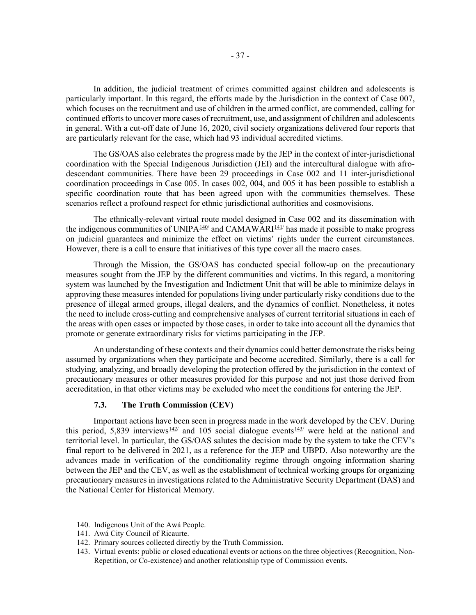In addition, the judicial treatment of crimes committed against children and adolescents is particularly important. In this regard, the efforts made by the Jurisdiction in the context of Case 007, which focuses on the recruitment and use of children in the armed conflict, are commended, calling for continued efforts to uncover more cases of recruitment, use, and assignment of children and adolescents in general. With a cut-off date of June 16, 2020, civil society organizations delivered four reports that are particularly relevant for the case, which had 93 individual accredited victims.

The GS/OAS also celebrates the progress made by the JEP in the context of inter-jurisdictional coordination with the Special Indigenous Jurisdiction (JEI) and the intercultural dialogue with afrodescendant communities. There have been 29 proceedings in Case 002 and 11 inter-jurisdictional coordination proceedings in Case 005. In cases 002, 004, and 005 it has been possible to establish a specific coordination route that has been agreed upon with the communities themselves. These scenarios reflect a profound respect for ethnic jurisdictional authorities and cosmovisions.

The ethnically-relevant virtual route model designed in Case 002 and its dissemination with the indigenous communities of UNIPA<sup>[140](#page-38-0)</sup> and CAMAWARI<sup>[141](#page-38-1)</sup>/ has made it possible to make progress on judicial guarantees and minimize the effect on victims' rights under the current circumstances. However, there is a call to ensure that initiatives of this type cover all the macro cases.

Through the Mission, the GS/OAS has conducted special follow-up on the precautionary measures sought from the JEP by the different communities and victims. In this regard, a monitoring system was launched by the Investigation and Indictment Unit that will be able to minimize delays in approving these measures intended for populations living under particularly risky conditions due to the presence of illegal armed groups, illegal dealers, and the dynamics of conflict. Nonetheless, it notes the need to include cross-cutting and comprehensive analyses of current territorial situations in each of the areas with open cases or impacted by those cases, in order to take into account all the dynamics that promote or generate extraordinary risks for victims participating in the JEP.

An understanding of these contexts and their dynamics could better demonstrate the risks being assumed by organizations when they participate and become accredited. Similarly, there is a call for studying, analyzing, and broadly developing the protection offered by the jurisdiction in the context of precautionary measures or other measures provided for this purpose and not just those derived from accreditation, in that other victims may be excluded who meet the conditions for entering the JEP.

#### **7.3. The Truth Commission (CEV)**

Important actions have been seen in progress made in the work developed by the CEV. During this period, 5,839 interviews<sup>[142/](#page-38-2)</sup> and 105 social dialogue events<sup>[143](#page-38-3)/</sup> were held at the national and territorial level. In particular, the GS/OAS salutes the decision made by the system to take the CEV's final report to be delivered in 2021, as a reference for the JEP and UBPD. Also noteworthy are the advances made in verification of the conditionality regime through ongoing information sharing between the JEP and the CEV, as well as the establishment of technical working groups for organizing precautionary measures in investigations related to the Administrative Security Department (DAS) and the National Center for Historical Memory.

<span id="page-38-0"></span><sup>140.</sup> Indigenous Unit of the Awá People.

<span id="page-38-1"></span><sup>141.</sup> Awá City Council of Ricaurte.

<span id="page-38-2"></span><sup>142.</sup> Primary sources collected directly by the Truth Commission.

<span id="page-38-3"></span><sup>143.</sup> Virtual events: public or closed educational events or actions on the three objectives (Recognition, Non-Repetition, or Co-existence) and another relationship type of Commission events.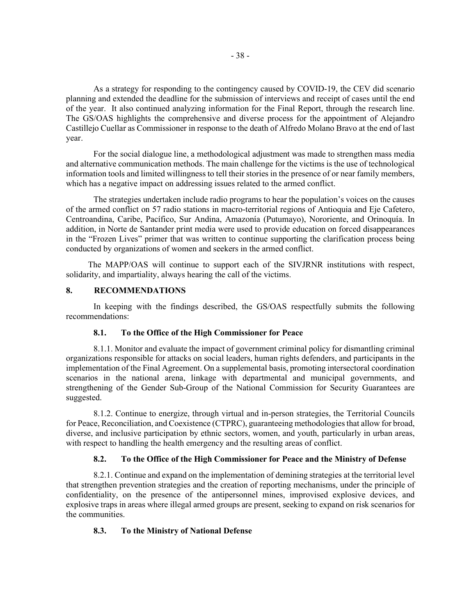As a strategy for responding to the contingency caused by COVID-19, the CEV did scenario planning and extended the deadline for the submission of interviews and receipt of cases until the end of the year. It also continued analyzing information for the Final Report, through the research line. The GS/OAS highlights the comprehensive and diverse process for the appointment of Alejandro Castillejo Cuellar as Commissioner in response to the death of Alfredo Molano Bravo at the end of last year.

For the social dialogue line, a methodological adjustment was made to strengthen mass media and alternative communication methods. The main challenge for the victims is the use of technological information tools and limited willingness to tell their stories in the presence of or near family members, which has a negative impact on addressing issues related to the armed conflict.

The strategies undertaken include radio programs to hear the population's voices on the causes of the armed conflict on 57 radio stations in macro-territorial regions of Antioquia and Eje Cafetero, Centroandina, Caribe, Pacífico, Sur Andina, Amazonía (Putumayo), Nororiente, and Orinoquía. In addition, in Norte de Santander print media were used to provide education on forced disappearances in the "Frozen Lives" primer that was written to continue supporting the clarification process being conducted by organizations of women and seekers in the armed conflict.

The MAPP/OAS will continue to support each of the SIVJRNR institutions with respect, solidarity, and impartiality, always hearing the call of the victims.

### **8. RECOMMENDATIONS**

In keeping with the findings described, the GS/OAS respectfully submits the following recommendations:

### **8.1. To the Office of the High Commissioner for Peace**

8.1.1. Monitor and evaluate the impact of government criminal policy for dismantling criminal organizations responsible for attacks on social leaders, human rights defenders, and participants in the implementation of the Final Agreement. On a supplemental basis, promoting intersectoral coordination scenarios in the national arena, linkage with departmental and municipal governments, and strengthening of the Gender Sub-Group of the National Commission for Security Guarantees are suggested.

8.1.2. Continue to energize, through virtual and in-person strategies, the Territorial Councils for Peace, Reconciliation, and Coexistence (CTPRC), guaranteeing methodologies that allow for broad, diverse, and inclusive participation by ethnic sectors, women, and youth, particularly in urban areas, with respect to handling the health emergency and the resulting areas of conflict.

### **8.2. To the Office of the High Commissioner for Peace and the Ministry of Defense**

8.2.1. Continue and expand on the implementation of demining strategies at the territorial level that strengthen prevention strategies and the creation of reporting mechanisms, under the principle of confidentiality, on the presence of the antipersonnel mines, improvised explosive devices, and explosive traps in areas where illegal armed groups are present, seeking to expand on risk scenarios for the communities.

### **8.3. To the Ministry of National Defense**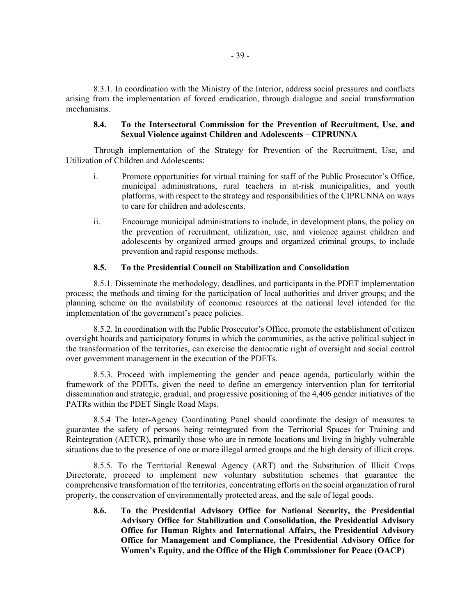8.3.1. In coordination with the Ministry of the Interior, address social pressures and conflicts arising from the implementation of forced eradication, through dialogue and social transformation mechanisms.

# **8.4. To the Intersectoral Commission for the Prevention of Recruitment, Use, and Sexual Violence against Children and Adolescents – CIPRUNNA**

Through implementation of the Strategy for Prevention of the Recruitment, Use, and Utilization of Children and Adolescents:

- i. Promote opportunities for virtual training for staff of the Public Prosecutor's Office, municipal administrations, rural teachers in at-risk municipalities, and youth platforms, with respect to the strategy and responsibilities of the CIPRUNNA on ways to care for children and adolescents.
- ii. Encourage municipal administrations to include, in development plans, the policy on the prevention of recruitment, utilization, use, and violence against children and adolescents by organized armed groups and organized criminal groups, to include prevention and rapid response methods.

#### **8.5. To the Presidential Council on Stabilization and Consolidation**

8.5.1. Disseminate the methodology, deadlines, and participants in the PDET implementation process; the methods and timing for the participation of local authorities and driver groups; and the planning scheme on the availability of economic resources at the national level intended for the implementation of the government's peace policies.

8.5.2. In coordination with the Public Prosecutor's Office, promote the establishment of citizen oversight boards and participatory forums in which the communities, as the active political subject in the transformation of the territories, can exercise the democratic right of oversight and social control over government management in the execution of the PDETs.

8.5.3. Proceed with implementing the gender and peace agenda, particularly within the framework of the PDETs, given the need to define an emergency intervention plan for territorial dissemination and strategic, gradual, and progressive positioning of the 4,406 gender initiatives of the PATRs within the PDET Single Road Maps.

8.5.4 The Inter-Agency Coordinating Panel should coordinate the design of measures to guarantee the safety of persons being reintegrated from the Territorial Spaces for Training and Reintegration (AETCR), primarily those who are in remote locations and living in highly vulnerable situations due to the presence of one or more illegal armed groups and the high density of illicit crops.

8.5.5. To the Territorial Renewal Agency (ART) and the Substitution of Illicit Crops Directorate, proceed to implement new voluntary substitution schemes that guarantee the comprehensive transformation of the territories, concentrating efforts on the social organization of rural property, the conservation of environmentally protected areas, and the sale of legal goods.

**8.6. To the Presidential Advisory Office for National Security, the Presidential Advisory Office for Stabilization and Consolidation, the Presidential Advisory Office for Human Rights and International Affairs, the Presidential Advisory Office for Management and Compliance, the Presidential Advisory Office for Women's Equity, and the Office of the High Commissioner for Peace (OACP)**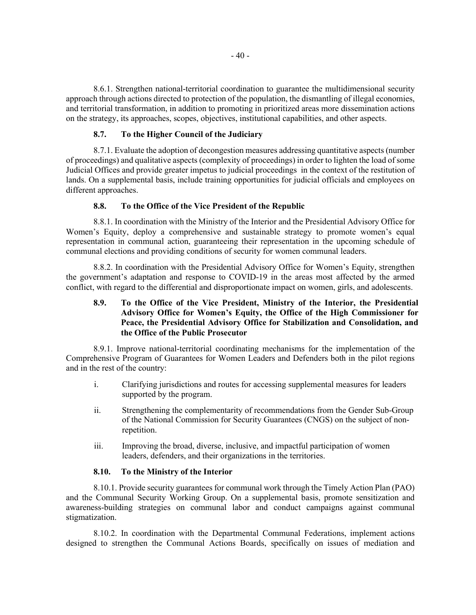8.6.1. Strengthen national-territorial coordination to guarantee the multidimensional security approach through actions directed to protection of the population, the dismantling of illegal economies, and territorial transformation, in addition to promoting in prioritized areas more dissemination actions on the strategy, its approaches, scopes, objectives, institutional capabilities, and other aspects.

#### **8.7. To the Higher Council of the Judiciary**

8.7.1. Evaluate the adoption of decongestion measures addressing quantitative aspects (number of proceedings) and qualitative aspects (complexity of proceedings) in order to lighten the load of some Judicial Offices and provide greater impetus to judicial proceedings in the context of the restitution of lands. On a supplemental basis, include training opportunities for judicial officials and employees on different approaches.

### **8.8. To the Office of the Vice President of the Republic**

8.8.1. In coordination with the Ministry of the Interior and the Presidential Advisory Office for Women's Equity, deploy a comprehensive and sustainable strategy to promote women's equal representation in communal action, guaranteeing their representation in the upcoming schedule of communal elections and providing conditions of security for women communal leaders.

8.8.2. In coordination with the Presidential Advisory Office for Women's Equity, strengthen the government's adaptation and response to COVID-19 in the areas most affected by the armed conflict, with regard to the differential and disproportionate impact on women, girls, and adolescents.

# **8.9. To the Office of the Vice President, Ministry of the Interior, the Presidential Advisory Office for Women's Equity, the Office of the High Commissioner for Peace, the Presidential Advisory Office for Stabilization and Consolidation, and the Office of the Public Prosecutor**

8.9.1. Improve national-territorial coordinating mechanisms for the implementation of the Comprehensive Program of Guarantees for Women Leaders and Defenders both in the pilot regions and in the rest of the country:

- i. Clarifying jurisdictions and routes for accessing supplemental measures for leaders supported by the program.
- ii. Strengthening the complementarity of recommendations from the Gender Sub-Group of the National Commission for Security Guarantees (CNGS) on the subject of nonrepetition.
- iii. Improving the broad, diverse, inclusive, and impactful participation of women leaders, defenders, and their organizations in the territories.

### **8.10. To the Ministry of the Interior**

8.10.1. Provide security guarantees for communal work through the Timely Action Plan (PAO) and the Communal Security Working Group. On a supplemental basis, promote sensitization and awareness-building strategies on communal labor and conduct campaigns against communal stigmatization.

8.10.2. In coordination with the Departmental Communal Federations, implement actions designed to strengthen the Communal Actions Boards, specifically on issues of mediation and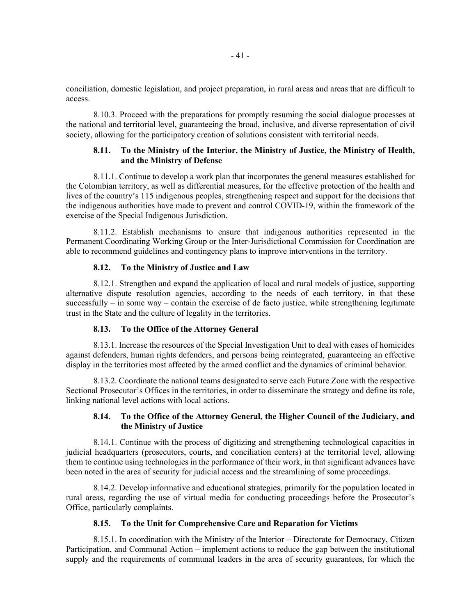conciliation, domestic legislation, and project preparation, in rural areas and areas that are difficult to access.

8.10.3. Proceed with the preparations for promptly resuming the social dialogue processes at the national and territorial level, guaranteeing the broad, inclusive, and diverse representation of civil society, allowing for the participatory creation of solutions consistent with territorial needs.

# **8.11. To the Ministry of the Interior, the Ministry of Justice, the Ministry of Health, and the Ministry of Defense**

8.11.1. Continue to develop a work plan that incorporates the general measures established for the Colombian territory, as well as differential measures, for the effective protection of the health and lives of the country's 115 indigenous peoples, strengthening respect and support for the decisions that the indigenous authorities have made to prevent and control COVID-19, within the framework of the exercise of the Special Indigenous Jurisdiction.

8.11.2. Establish mechanisms to ensure that indigenous authorities represented in the Permanent Coordinating Working Group or the Inter-Jurisdictional Commission for Coordination are able to recommend guidelines and contingency plans to improve interventions in the territory.

### **8.12. To the Ministry of Justice and Law**

8.12.1. Strengthen and expand the application of local and rural models of justice, supporting alternative dispute resolution agencies, according to the needs of each territory, in that these successfully – in some way – contain the exercise of de facto justice, while strengthening legitimate trust in the State and the culture of legality in the territories.

#### **8.13. To the Office of the Attorney General**

8.13.1. Increase the resources of the Special Investigation Unit to deal with cases of homicides against defenders, human rights defenders, and persons being reintegrated, guaranteeing an effective display in the territories most affected by the armed conflict and the dynamics of criminal behavior.

8.13.2. Coordinate the national teams designated to serve each Future Zone with the respective Sectional Prosecutor's Offices in the territories, in order to disseminate the strategy and define its role, linking national level actions with local actions.

### **8.14. To the Office of the Attorney General, the Higher Council of the Judiciary, and the Ministry of Justice**

8.14.1. Continue with the process of digitizing and strengthening technological capacities in judicial headquarters (prosecutors, courts, and conciliation centers) at the territorial level, allowing them to continue using technologies in the performance of their work, in that significant advances have been noted in the area of security for judicial access and the streamlining of some proceedings.

8.14.2. Develop informative and educational strategies, primarily for the population located in rural areas, regarding the use of virtual media for conducting proceedings before the Prosecutor's Office, particularly complaints.

#### **8.15. To the Unit for Comprehensive Care and Reparation for Victims**

8.15.1. In coordination with the Ministry of the Interior – Directorate for Democracy, Citizen Participation, and Communal Action – implement actions to reduce the gap between the institutional supply and the requirements of communal leaders in the area of security guarantees, for which the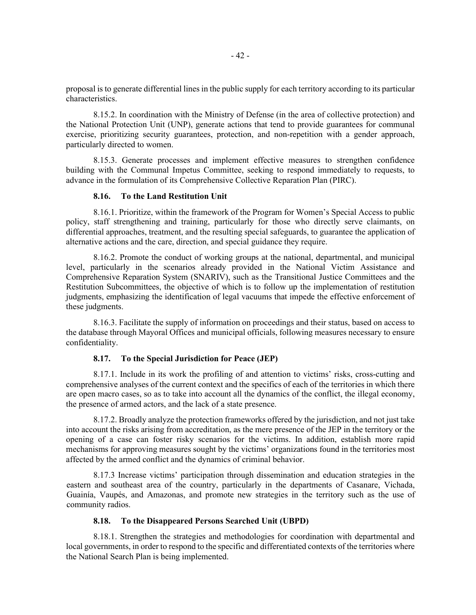proposal is to generate differential lines in the public supply for each territory according to its particular characteristics.

8.15.2. In coordination with the Ministry of Defense (in the area of collective protection) and the National Protection Unit (UNP), generate actions that tend to provide guarantees for communal exercise, prioritizing security guarantees, protection, and non-repetition with a gender approach, particularly directed to women.

8.15.3. Generate processes and implement effective measures to strengthen confidence building with the Communal Impetus Committee, seeking to respond immediately to requests, to advance in the formulation of its Comprehensive Collective Reparation Plan (PIRC).

### **8.16. To the Land Restitution Unit**

8.16.1. Prioritize, within the framework of the Program for Women's Special Access to public policy, staff strengthening and training, particularly for those who directly serve claimants, on differential approaches, treatment, and the resulting special safeguards, to guarantee the application of alternative actions and the care, direction, and special guidance they require.

8.16.2. Promote the conduct of working groups at the national, departmental, and municipal level, particularly in the scenarios already provided in the National Victim Assistance and Comprehensive Reparation System (SNARIV), such as the Transitional Justice Committees and the Restitution Subcommittees, the objective of which is to follow up the implementation of restitution judgments, emphasizing the identification of legal vacuums that impede the effective enforcement of these judgments.

8.16.3. Facilitate the supply of information on proceedings and their status, based on access to the database through Mayoral Offices and municipal officials, following measures necessary to ensure confidentiality.

### **8.17. To the Special Jurisdiction for Peace (JEP)**

8.17.1. Include in its work the profiling of and attention to victims' risks, cross-cutting and comprehensive analyses of the current context and the specifics of each of the territories in which there are open macro cases, so as to take into account all the dynamics of the conflict, the illegal economy, the presence of armed actors, and the lack of a state presence.

8.17.2. Broadly analyze the protection frameworks offered by the jurisdiction, and not just take into account the risks arising from accreditation, as the mere presence of the JEP in the territory or the opening of a case can foster risky scenarios for the victims. In addition, establish more rapid mechanisms for approving measures sought by the victims' organizations found in the territories most affected by the armed conflict and the dynamics of criminal behavior.

8.17.3 Increase victims' participation through dissemination and education strategies in the eastern and southeast area of the country, particularly in the departments of Casanare, Vichada, Guainía, Vaupés, and Amazonas, and promote new strategies in the territory such as the use of community radios.

#### **8.18. To the Disappeared Persons Searched Unit (UBPD)**

8.18.1. Strengthen the strategies and methodologies for coordination with departmental and local governments, in order to respond to the specific and differentiated contexts of the territories where the National Search Plan is being implemented.